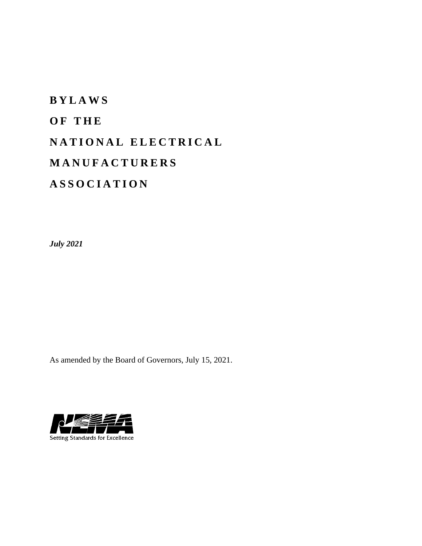# **B Y L A W S O F T H E N A T I O N A L E L E C T R I C A L M A N U F A C T U R E R S A S S O C I A T I O N**

*July 2021*

As amended by the Board of Governors, July 15, 2021.

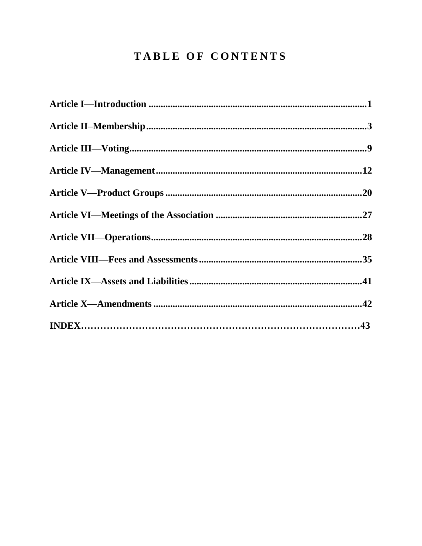# TABLE OF CONTENTS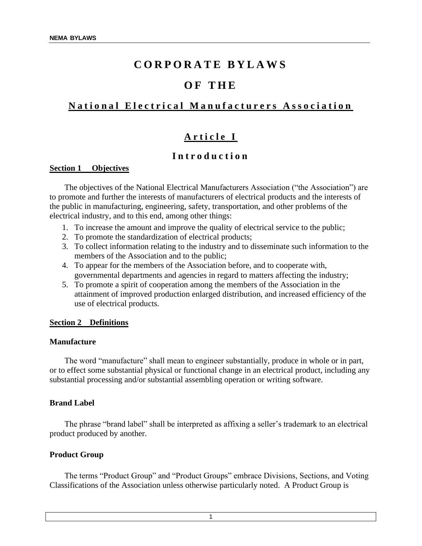# **C O R P O R A T E B Y L A W S**

# **O F T H E**

# **National Electrical Manufacturers Association**

# Article I

# **I n t r o d u c t i o n**

#### **Section 1 Objectives**

The objectives of the National Electrical Manufacturers Association ("the Association") are to promote and further the interests of manufacturers of electrical products and the interests of the public in manufacturing, engineering, safety, transportation, and other problems of the electrical industry, and to this end, among other things:

- 1. To increase the amount and improve the quality of electrical service to the public;
- 2. To promote the standardization of electrical products;
- 3. To collect information relating to the industry and to disseminate such information to the members of the Association and to the public;
- 4. To appear for the members of the Association before, and to cooperate with, governmental departments and agencies in regard to matters affecting the industry;
- 5. To promote a spirit of cooperation among the members of the Association in the attainment of improved production enlarged distribution, and increased efficiency of the use of electrical products.

#### **Section 2 Definitions**

#### **Manufacture**

The word "manufacture" shall mean to engineer substantially, produce in whole or in part, or to effect some substantial physical or functional change in an electrical product, including any substantial processing and/or substantial assembling operation or writing software.

#### **Brand Label**

The phrase "brand label" shall be interpreted as affixing a seller's trademark to an electrical product produced by another.

#### **Product Group**

The terms "Product Group" and "Product Groups" embrace Divisions, Sections, and Voting Classifications of the Association unless otherwise particularly noted. A Product Group is

1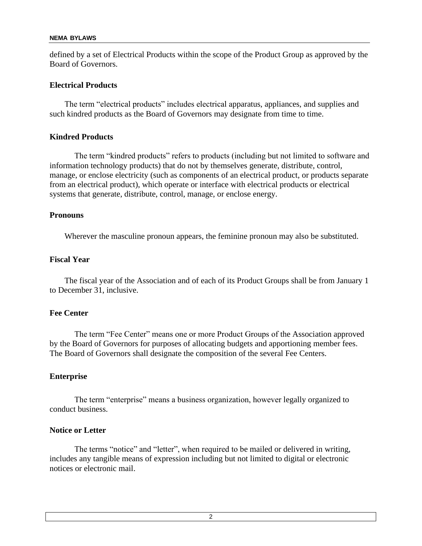defined by a set of Electrical Products within the scope of the Product Group as approved by the Board of Governors.

### **Electrical Products**

The term "electrical products" includes electrical apparatus, appliances, and supplies and such kindred products as the Board of Governors may designate from time to time.

# **Kindred Products**

The term "kindred products" refers to products (including but not limited to software and information technology products) that do not by themselves generate, distribute, control, manage, or enclose electricity (such as components of an electrical product, or products separate from an electrical product), which operate or interface with electrical products or electrical systems that generate, distribute, control, manage, or enclose energy.

#### **Pronouns**

Wherever the masculine pronoun appears, the feminine pronoun may also be substituted.

# **Fiscal Year**

The fiscal year of the Association and of each of its Product Groups shall be from January 1 to December 31, inclusive.

# **Fee Center**

The term "Fee Center" means one or more Product Groups of the Association approved by the Board of Governors for purposes of allocating budgets and apportioning member fees. The Board of Governors shall designate the composition of the several Fee Centers.

# **Enterprise**

The term "enterprise" means a business organization, however legally organized to conduct business.

# **Notice or Letter**

The terms "notice" and "letter", when required to be mailed or delivered in writing, includes any tangible means of expression including but not limited to digital or electronic notices or electronic mail.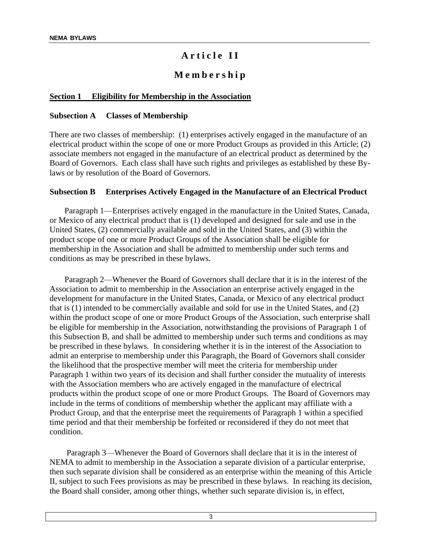# A r ticle II

# **M e m b e r s h i p**

#### **Section 1 Eligibility for Membership in the Association**

#### **Subsection A Classes of Membership**

There are two classes of membership: (1) enterprises actively engaged in the manufacture of an electrical product within the scope of one or more Product Groups as provided in this Article; (2) associate members not engaged in the manufacture of an electrical product as determined by the Board of Governors. Each class shall have such rights and privileges as established by these Bylaws or by resolution of the Board of Governors.

#### **Subsection B Enterprises Actively Engaged in the Manufacture of an Electrical Product**

Paragraph 1—Enterprises actively engaged in the manufacture in the United States, Canada, or Mexico of any electrical product that is (1) developed and designed for sale and use in the United States, (2) commercially available and sold in the United States, and (3) within the product scope of one or more Product Groups of the Association shall be eligible for membership in the Association and shall be admitted to membership under such terms and conditions as may be prescribed in these bylaws.

Paragraph 2—Whenever the Board of Governors shall declare that it is in the interest of the Association to admit to membership in the Association an enterprise actively engaged in the development for manufacture in the United States, Canada, or Mexico of any electrical product that is (1) intended to be commercially available and sold for use in the United States, and (2) within the product scope of one or more Product Groups of the Association, such enterprise shall be eligible for membership in the Association, notwithstanding the provisions of Paragraph 1 of this Subsection B, and shall be admitted to membership under such terms and conditions as may be prescribed in these bylaws. In considering whether it is in the interest of the Association to admit an enterprise to membership under this Paragraph, the Board of Governors shall consider the likelihood that the prospective member will meet the criteria for membership under Paragraph 1 within two years of its decision and shall further consider the mutuality of interests with the Association members who are actively engaged in the manufacture of electrical products within the product scope of one or more Product Groups. The Board of Governors may include in the terms of conditions of membership whether the applicant may affiliate with a Product Group, and that the enterprise meet the requirements of Paragraph 1 within a specified time period and that their membership be forfeited or reconsidered if they do not meet that condition.

Paragraph 3—Whenever the Board of Governors shall declare that it is in the interest of NEMA to admit to membership in the Association a separate division of a particular enterprise, then such separate division shall be considered as an enterprise within the meaning of this Article II, subject to such Fees provisions as may be prescribed in these bylaws. In reaching its decision, the Board shall consider, among other things, whether such separate division is, in effect,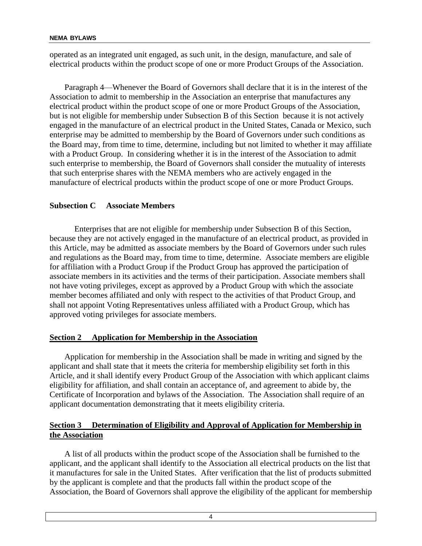operated as an integrated unit engaged, as such unit, in the design, manufacture, and sale of electrical products within the product scope of one or more Product Groups of the Association.

Paragraph 4—Whenever the Board of Governors shall declare that it is in the interest of the Association to admit to membership in the Association an enterprise that manufactures any electrical product within the product scope of one or more Product Groups of the Association, but is not eligible for membership under Subsection B of this Section because it is not actively engaged in the manufacture of an electrical product in the United States, Canada or Mexico, such enterprise may be admitted to membership by the Board of Governors under such conditions as the Board may, from time to time, determine, including but not limited to whether it may affiliate with a Product Group. In considering whether it is in the interest of the Association to admit such enterprise to membership, the Board of Governors shall consider the mutuality of interests that such enterprise shares with the NEMA members who are actively engaged in the manufacture of electrical products within the product scope of one or more Product Groups.

# **Subsection C Associate Members**

Enterprises that are not eligible for membership under Subsection B of this Section, because they are not actively engaged in the manufacture of an electrical product, as provided in this Article, may be admitted as associate members by the Board of Governors under such rules and regulations as the Board may, from time to time, determine. Associate members are eligible for affiliation with a Product Group if the Product Group has approved the participation of associate members in its activities and the terms of their participation. Associate members shall not have voting privileges, except as approved by a Product Group with which the associate member becomes affiliated and only with respect to the activities of that Product Group, and shall not appoint Voting Representatives unless affiliated with a Product Group, which has approved voting privileges for associate members.

# **Section 2 Application for Membership in the Association**

Application for membership in the Association shall be made in writing and signed by the applicant and shall state that it meets the criteria for membership eligibility set forth in this Article, and it shall identify every Product Group of the Association with which applicant claims eligibility for affiliation, and shall contain an acceptance of, and agreement to abide by, the Certificate of Incorporation and bylaws of the Association. The Association shall require of an applicant documentation demonstrating that it meets eligibility criteria.

# **Section 3 Determination of Eligibility and Approval of Application for Membership in the Association**

A list of all products within the product scope of the Association shall be furnished to the applicant, and the applicant shall identify to the Association all electrical products on the list that it manufactures for sale in the United States. After verification that the list of products submitted by the applicant is complete and that the products fall within the product scope of the Association, the Board of Governors shall approve the eligibility of the applicant for membership

4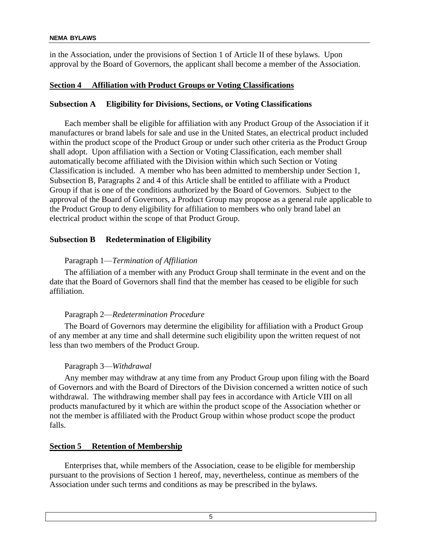in the Association, under the provisions of Section 1 of Article II of these bylaws. Upon approval by the Board of Governors, the applicant shall become a member of the Association.

# **Section 4 Affiliation with Product Groups or Voting Classifications**

# **Subsection A Eligibility for Divisions, Sections, or Voting Classifications**

Each member shall be eligible for affiliation with any Product Group of the Association if it manufactures or brand labels for sale and use in the United States, an electrical product included within the product scope of the Product Group or under such other criteria as the Product Group shall adopt. Upon affiliation with a Section or Voting Classification, each member shall automatically become affiliated with the Division within which such Section or Voting Classification is included. A member who has been admitted to membership under Section 1, Subsection B, Paragraphs 2 and 4 of this Article shall be entitled to affiliate with a Product Group if that is one of the conditions authorized by the Board of Governors. Subject to the approval of the Board of Governors, a Product Group may propose as a general rule applicable to the Product Group to deny eligibility for affiliation to members who only brand label an electrical product within the scope of that Product Group.

# **Subsection B Redetermination of Eligibility**

# Paragraph 1—*Termination of Affiliation*

The affiliation of a member with any Product Group shall terminate in the event and on the date that the Board of Governors shall find that the member has ceased to be eligible for such affiliation.

# Paragraph 2—*Redetermination Procedure*

The Board of Governors may determine the eligibility for affiliation with a Product Group of any member at any time and shall determine such eligibility upon the written request of not less than two members of the Product Group.

#### Paragraph 3—*Withdrawal*

Any member may withdraw at any time from any Product Group upon filing with the Board of Governors and with the Board of Directors of the Division concerned a written notice of such withdrawal. The withdrawing member shall pay fees in accordance with Article VIII on all products manufactured by it which are within the product scope of the Association whether or not the member is affiliated with the Product Group within whose product scope the product falls.

#### **Section 5 Retention of Membership**

Enterprises that, while members of the Association, cease to be eligible for membership pursuant to the provisions of Section 1 hereof, may, nevertheless, continue as members of the Association under such terms and conditions as may be prescribed in the bylaws.

5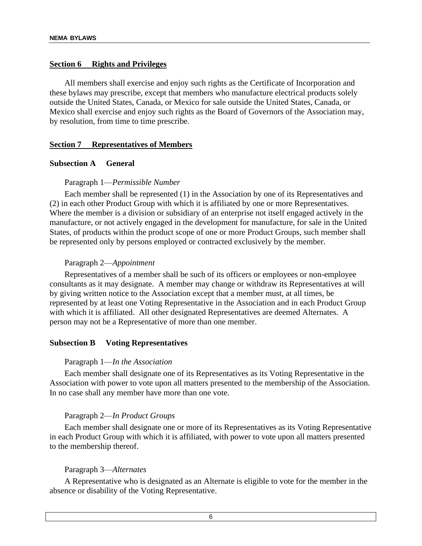#### **Section 6 Rights and Privileges**

All members shall exercise and enjoy such rights as the Certificate of Incorporation and these bylaws may prescribe, except that members who manufacture electrical products solely outside the United States, Canada, or Mexico for sale outside the United States, Canada, or Mexico shall exercise and enjoy such rights as the Board of Governors of the Association may, by resolution, from time to time prescribe.

#### **Section 7 Representatives of Members**

#### **Subsection A General**

#### Paragraph 1—*Permissible Number*

Each member shall be represented (1) in the Association by one of its Representatives and (2) in each other Product Group with which it is affiliated by one or more Representatives. Where the member is a division or subsidiary of an enterprise not itself engaged actively in the manufacture, or not actively engaged in the development for manufacture, for sale in the United States, of products within the product scope of one or more Product Groups, such member shall be represented only by persons employed or contracted exclusively by the member.

#### Paragraph 2—*Appointment*

Representatives of a member shall be such of its officers or employees or non-employee consultants as it may designate. A member may change or withdraw its Representatives at will by giving written notice to the Association except that a member must, at all times, be represented by at least one Voting Representative in the Association and in each Product Group with which it is affiliated. All other designated Representatives are deemed Alternates. A person may not be a Representative of more than one member.

#### **Subsection B Voting Representatives**

#### Paragraph 1—*In the Association*

Each member shall designate one of its Representatives as its Voting Representative in the Association with power to vote upon all matters presented to the membership of the Association. In no case shall any member have more than one vote.

#### Paragraph 2—*In Product Groups*

Each member shall designate one or more of its Representatives as its Voting Representative in each Product Group with which it is affiliated, with power to vote upon all matters presented to the membership thereof.

#### Paragraph 3—*Alternates*

A Representative who is designated as an Alternate is eligible to vote for the member in the absence or disability of the Voting Representative.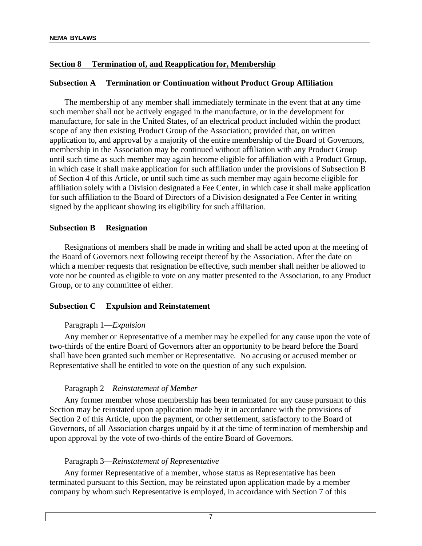# **Section 8 Termination of, and Reapplication for, Membership**

#### **Subsection A Termination or Continuation without Product Group Affiliation**

The membership of any member shall immediately terminate in the event that at any time such member shall not be actively engaged in the manufacture, or in the development for manufacture, for sale in the United States, of an electrical product included within the product scope of any then existing Product Group of the Association; provided that, on written application to, and approval by a majority of the entire membership of the Board of Governors, membership in the Association may be continued without affiliation with any Product Group until such time as such member may again become eligible for affiliation with a Product Group, in which case it shall make application for such affiliation under the provisions of Subsection B of Section 4 of this Article, or until such time as such member may again become eligible for affiliation solely with a Division designated a Fee Center, in which case it shall make application for such affiliation to the Board of Directors of a Division designated a Fee Center in writing signed by the applicant showing its eligibility for such affiliation.

#### **Subsection B Resignation**

Resignations of members shall be made in writing and shall be acted upon at the meeting of the Board of Governors next following receipt thereof by the Association. After the date on which a member requests that resignation be effective, such member shall neither be allowed to vote nor be counted as eligible to vote on any matter presented to the Association, to any Product Group, or to any committee of either.

#### **Subsection C Expulsion and Reinstatement**

#### Paragraph 1—*Expulsion*

Any member or Representative of a member may be expelled for any cause upon the vote of two-thirds of the entire Board of Governors after an opportunity to be heard before the Board shall have been granted such member or Representative. No accusing or accused member or Representative shall be entitled to vote on the question of any such expulsion.

#### Paragraph 2—*Reinstatement of Member*

Any former member whose membership has been terminated for any cause pursuant to this Section may be reinstated upon application made by it in accordance with the provisions of Section 2 of this Article, upon the payment, or other settlement, satisfactory to the Board of Governors, of all Association charges unpaid by it at the time of termination of membership and upon approval by the vote of two-thirds of the entire Board of Governors.

#### Paragraph 3—*Reinstatement of Representative*

Any former Representative of a member, whose status as Representative has been terminated pursuant to this Section, may be reinstated upon application made by a member company by whom such Representative is employed, in accordance with Section 7 of this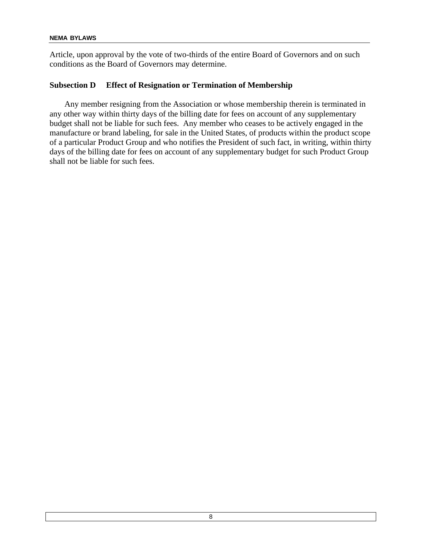Article, upon approval by the vote of two-thirds of the entire Board of Governors and on such conditions as the Board of Governors may determine.

### **Subsection D Effect of Resignation or Termination of Membership**

Any member resigning from the Association or whose membership therein is terminated in any other way within thirty days of the billing date for fees on account of any supplementary budget shall not be liable for such fees. Any member who ceases to be actively engaged in the manufacture or brand labeling, for sale in the United States, of products within the product scope of a particular Product Group and who notifies the President of such fact, in writing, within thirty days of the billing date for fees on account of any supplementary budget for such Product Group shall not be liable for such fees.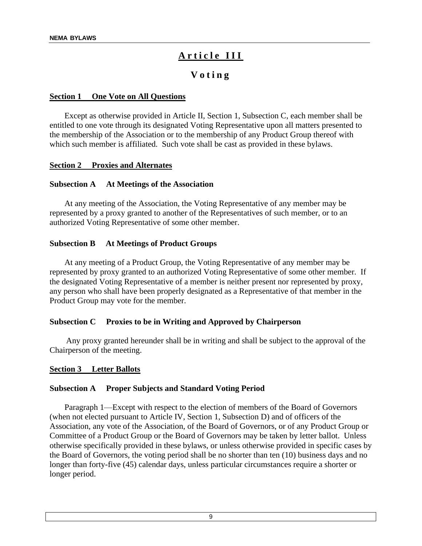# A r ticle III

# **V o t i n g**

#### **Section 1 One Vote on All Questions**

Except as otherwise provided in Article II, Section 1, Subsection C, each member shall be entitled to one vote through its designated Voting Representative upon all matters presented to the membership of the Association or to the membership of any Product Group thereof with which such member is affiliated. Such vote shall be cast as provided in these bylaws.

#### **Section 2 Proxies and Alternates**

#### **Subsection A At Meetings of the Association**

At any meeting of the Association, the Voting Representative of any member may be represented by a proxy granted to another of the Representatives of such member, or to an authorized Voting Representative of some other member.

#### **Subsection B At Meetings of Product Groups**

At any meeting of a Product Group, the Voting Representative of any member may be represented by proxy granted to an authorized Voting Representative of some other member. If the designated Voting Representative of a member is neither present nor represented by proxy, any person who shall have been properly designated as a Representative of that member in the Product Group may vote for the member.

#### **Subsection C Proxies to be in Writing and Approved by Chairperson**

 Any proxy granted hereunder shall be in writing and shall be subject to the approval of the Chairperson of the meeting.

#### **Section 3 Letter Ballots**

#### **Subsection A Proper Subjects and Standard Voting Period**

Paragraph 1—Except with respect to the election of members of the Board of Governors (when not elected pursuant to Article IV, Section 1, Subsection D) and of officers of the Association, any vote of the Association, of the Board of Governors, or of any Product Group or Committee of a Product Group or the Board of Governors may be taken by letter ballot. Unless otherwise specifically provided in these bylaws, or unless otherwise provided in specific cases by the Board of Governors, the voting period shall be no shorter than ten (10) business days and no longer than forty-five (45) calendar days, unless particular circumstances require a shorter or longer period.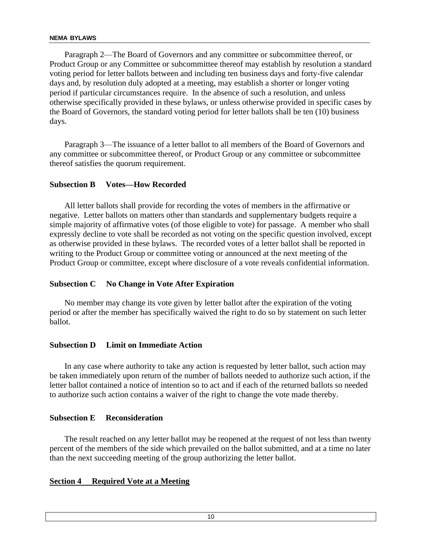Paragraph 2—The Board of Governors and any committee or subcommittee thereof, or Product Group or any Committee or subcommittee thereof may establish by resolution a standard voting period for letter ballots between and including ten business days and forty-five calendar days and, by resolution duly adopted at a meeting, may establish a shorter or longer voting period if particular circumstances require. In the absence of such a resolution, and unless otherwise specifically provided in these bylaws, or unless otherwise provided in specific cases by the Board of Governors, the standard voting period for letter ballots shall be ten (10) business days.

Paragraph 3—The issuance of a letter ballot to all members of the Board of Governors and any committee or subcommittee thereof, or Product Group or any committee or subcommittee thereof satisfies the quorum requirement.

# **Subsection B Votes—How Recorded**

All letter ballots shall provide for recording the votes of members in the affirmative or negative. Letter ballots on matters other than standards and supplementary budgets require a simple majority of affirmative votes (of those eligible to vote) for passage. A member who shall expressly decline to vote shall be recorded as not voting on the specific question involved, except as otherwise provided in these bylaws. The recorded votes of a letter ballot shall be reported in writing to the Product Group or committee voting or announced at the next meeting of the Product Group or committee, except where disclosure of a vote reveals confidential information.

#### **Subsection C No Change in Vote After Expiration**

No member may change its vote given by letter ballot after the expiration of the voting period or after the member has specifically waived the right to do so by statement on such letter ballot.

#### **Subsection D Limit on Immediate Action**

In any case where authority to take any action is requested by letter ballot, such action may be taken immediately upon return of the number of ballots needed to authorize such action, if the letter ballot contained a notice of intention so to act and if each of the returned ballots so needed to authorize such action contains a waiver of the right to change the vote made thereby.

#### **Subsection E Reconsideration**

The result reached on any letter ballot may be reopened at the request of not less than twenty percent of the members of the side which prevailed on the ballot submitted, and at a time no later than the next succeeding meeting of the group authorizing the letter ballot.

#### **Section 4 Required Vote at a Meeting**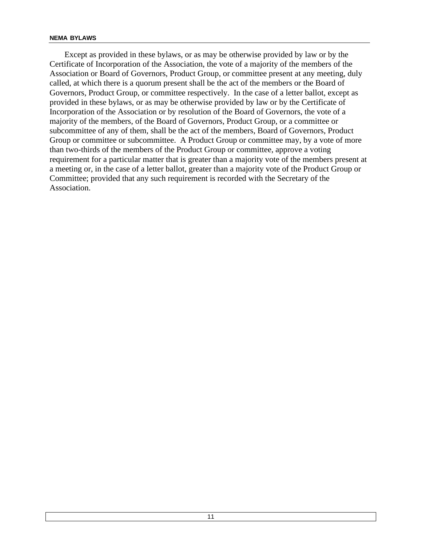Except as provided in these bylaws, or as may be otherwise provided by law or by the Certificate of Incorporation of the Association, the vote of a majority of the members of the Association or Board of Governors, Product Group, or committee present at any meeting, duly called, at which there is a quorum present shall be the act of the members or the Board of Governors, Product Group, or committee respectively. In the case of a letter ballot, except as provided in these bylaws, or as may be otherwise provided by law or by the Certificate of Incorporation of the Association or by resolution of the Board of Governors, the vote of a majority of the members, of the Board of Governors, Product Group, or a committee or subcommittee of any of them, shall be the act of the members, Board of Governors, Product Group or committee or subcommittee. A Product Group or committee may, by a vote of more than two-thirds of the members of the Product Group or committee, approve a voting requirement for a particular matter that is greater than a majority vote of the members present at a meeting or, in the case of a letter ballot, greater than a majority vote of the Product Group or Committee; provided that any such requirement is recorded with the Secretary of the Association.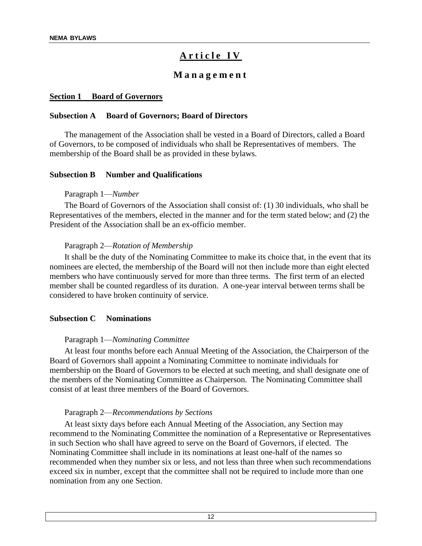# Article IV

# **M a n a g e m e n t**

#### **Section 1 Board of Governors**

#### **Subsection A Board of Governors; Board of Directors**

The management of the Association shall be vested in a Board of Directors, called a Board of Governors, to be composed of individuals who shall be Representatives of members. The membership of the Board shall be as provided in these bylaws.

#### **Subsection B Number and Qualifications**

#### Paragraph 1—*Number*

The Board of Governors of the Association shall consist of: (1) 30 individuals, who shall be Representatives of the members, elected in the manner and for the term stated below; and (2) the President of the Association shall be an ex-officio member.

#### Paragraph 2—*Rotation of Membership*

It shall be the duty of the Nominating Committee to make its choice that, in the event that its nominees are elected, the membership of the Board will not then include more than eight elected members who have continuously served for more than three terms. The first term of an elected member shall be counted regardless of its duration. A one-year interval between terms shall be considered to have broken continuity of service.

#### **Subsection C Nominations**

#### Paragraph 1—*Nominating Committee*

At least four months before each Annual Meeting of the Association, the Chairperson of the Board of Governors shall appoint a Nominating Committee to nominate individuals for membership on the Board of Governors to be elected at such meeting, and shall designate one of the members of the Nominating Committee as Chairperson. The Nominating Committee shall consist of at least three members of the Board of Governors.

#### Paragraph 2—*Recommendations by Sections*

At least sixty days before each Annual Meeting of the Association, any Section may recommend to the Nominating Committee the nomination of a Representative or Representatives in such Section who shall have agreed to serve on the Board of Governors, if elected. The Nominating Committee shall include in its nominations at least one-half of the names so recommended when they number six or less, and not less than three when such recommendations exceed six in number, except that the committee shall not be required to include more than one nomination from any one Section.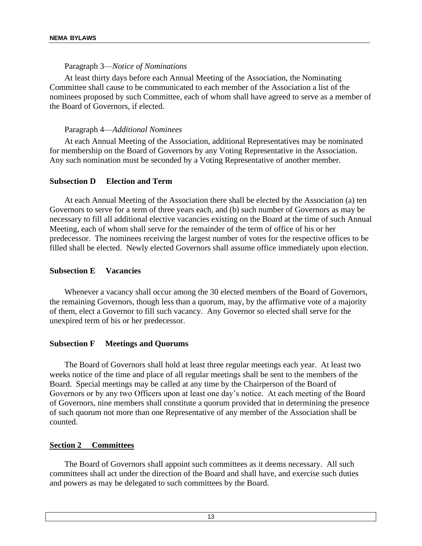#### Paragraph 3—*Notice of Nominations*

At least thirty days before each Annual Meeting of the Association, the Nominating Committee shall cause to be communicated to each member of the Association a list of the nominees proposed by such Committee, each of whom shall have agreed to serve as a member of the Board of Governors, if elected.

#### Paragraph 4—*Additional Nominees*

At each Annual Meeting of the Association, additional Representatives may be nominated for membership on the Board of Governors by any Voting Representative in the Association. Any such nomination must be seconded by a Voting Representative of another member.

#### **Subsection D Election and Term**

At each Annual Meeting of the Association there shall be elected by the Association (a) ten Governors to serve for a term of three years each, and (b) such number of Governors as may be necessary to fill all additional elective vacancies existing on the Board at the time of such Annual Meeting, each of whom shall serve for the remainder of the term of office of his or her predecessor. The nominees receiving the largest number of votes for the respective offices to be filled shall be elected. Newly elected Governors shall assume office immediately upon election.

#### **Subsection E Vacancies**

Whenever a vacancy shall occur among the 30 elected members of the Board of Governors, the remaining Governors, though less than a quorum, may, by the affirmative vote of a majority of them, elect a Governor to fill such vacancy. Any Governor so elected shall serve for the unexpired term of his or her predecessor.

#### **Subsection F Meetings and Quorums**

The Board of Governors shall hold at least three regular meetings each year. At least two weeks notice of the time and place of all regular meetings shall be sent to the members of the Board. Special meetings may be called at any time by the Chairperson of the Board of Governors or by any two Officers upon at least one day's notice. At each meeting of the Board of Governors, nine members shall constitute a quorum provided that in determining the presence of such quorum not more than one Representative of any member of the Association shall be counted.

#### **Section 2 Committees**

The Board of Governors shall appoint such committees as it deems necessary. All such committees shall act under the direction of the Board and shall have, and exercise such duties and powers as may be delegated to such committees by the Board.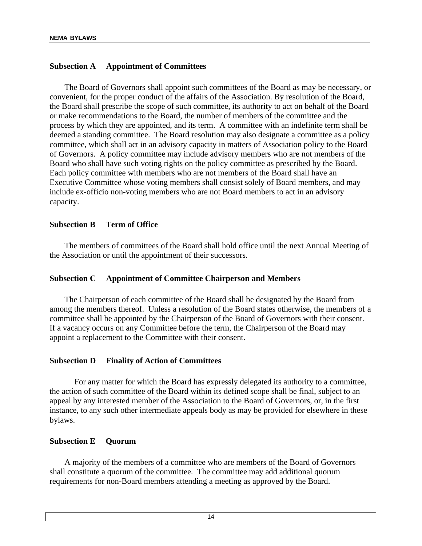# **Subsection A Appointment of Committees**

The Board of Governors shall appoint such committees of the Board as may be necessary, or convenient, for the proper conduct of the affairs of the Association. By resolution of the Board, the Board shall prescribe the scope of such committee, its authority to act on behalf of the Board or make recommendations to the Board, the number of members of the committee and the process by which they are appointed, and its term. A committee with an indefinite term shall be deemed a standing committee. The Board resolution may also designate a committee as a policy committee, which shall act in an advisory capacity in matters of Association policy to the Board of Governors. A policy committee may include advisory members who are not members of the Board who shall have such voting rights on the policy committee as prescribed by the Board. Each policy committee with members who are not members of the Board shall have an Executive Committee whose voting members shall consist solely of Board members, and may include ex-officio non-voting members who are not Board members to act in an advisory capacity.

#### **Subsection B Term of Office**

The members of committees of the Board shall hold office until the next Annual Meeting of the Association or until the appointment of their successors.

#### **Subsection C Appointment of Committee Chairperson and Members**

The Chairperson of each committee of the Board shall be designated by the Board from among the members thereof. Unless a resolution of the Board states otherwise, the members of a committee shall be appointed by the Chairperson of the Board of Governors with their consent. If a vacancy occurs on any Committee before the term, the Chairperson of the Board may appoint a replacement to the Committee with their consent.

#### **Subsection D Finality of Action of Committees**

For any matter for which the Board has expressly delegated its authority to a committee, the action of such committee of the Board within its defined scope shall be final, subject to an appeal by any interested member of the Association to the Board of Governors, or, in the first instance, to any such other intermediate appeals body as may be provided for elsewhere in these bylaws.

#### **Subsection E Quorum**

A majority of the members of a committee who are members of the Board of Governors shall constitute a quorum of the committee. The committee may add additional quorum requirements for non-Board members attending a meeting as approved by the Board.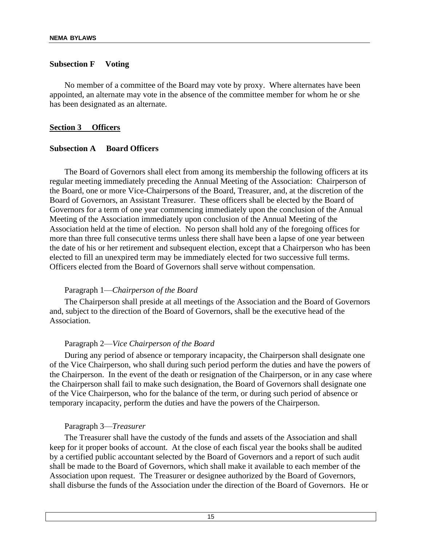#### **Subsection F Voting**

No member of a committee of the Board may vote by proxy. Where alternates have been appointed, an alternate may vote in the absence of the committee member for whom he or she has been designated as an alternate.

#### **Section 3 Officers**

#### **Subsection A Board Officers**

The Board of Governors shall elect from among its membership the following officers at its regular meeting immediately preceding the Annual Meeting of the Association: Chairperson of the Board, one or more Vice-Chairpersons of the Board, Treasurer, and, at the discretion of the Board of Governors, an Assistant Treasurer. These officers shall be elected by the Board of Governors for a term of one year commencing immediately upon the conclusion of the Annual Meeting of the Association immediately upon conclusion of the Annual Meeting of the Association held at the time of election. No person shall hold any of the foregoing offices for more than three full consecutive terms unless there shall have been a lapse of one year between the date of his or her retirement and subsequent election, except that a Chairperson who has been elected to fill an unexpired term may be immediately elected for two successive full terms. Officers elected from the Board of Governors shall serve without compensation.

#### Paragraph 1—*Chairperson of the Board*

The Chairperson shall preside at all meetings of the Association and the Board of Governors and, subject to the direction of the Board of Governors, shall be the executive head of the Association.

#### Paragraph 2—*Vice Chairperson of the Board*

During any period of absence or temporary incapacity, the Chairperson shall designate one of the Vice Chairperson, who shall during such period perform the duties and have the powers of the Chairperson. In the event of the death or resignation of the Chairperson, or in any case where the Chairperson shall fail to make such designation, the Board of Governors shall designate one of the Vice Chairperson, who for the balance of the term, or during such period of absence or temporary incapacity, perform the duties and have the powers of the Chairperson.

#### Paragraph 3—*Treasurer*

The Treasurer shall have the custody of the funds and assets of the Association and shall keep for it proper books of account. At the close of each fiscal year the books shall be audited by a certified public accountant selected by the Board of Governors and a report of such audit shall be made to the Board of Governors, which shall make it available to each member of the Association upon request. The Treasurer or designee authorized by the Board of Governors, shall disburse the funds of the Association under the direction of the Board of Governors. He or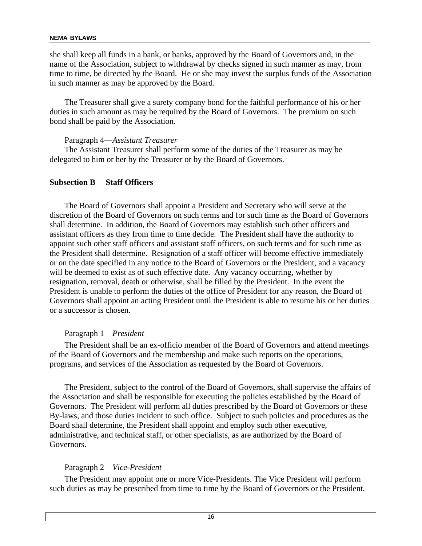she shall keep all funds in a bank, or banks, approved by the Board of Governors and, in the name of the Association, subject to withdrawal by checks signed in such manner as may, from time to time, be directed by the Board. He or she may invest the surplus funds of the Association in such manner as may be approved by the Board.

The Treasurer shall give a surety company bond for the faithful performance of his or her duties in such amount as may be required by the Board of Governors. The premium on such bond shall be paid by the Association.

#### Paragraph 4—*Assistant Treasurer*

The Assistant Treasurer shall perform some of the duties of the Treasurer as may be delegated to him or her by the Treasurer or by the Board of Governors.

# **Subsection B Staff Officers**

The Board of Governors shall appoint a President and Secretary who will serve at the discretion of the Board of Governors on such terms and for such time as the Board of Governors shall determine. In addition, the Board of Governors may establish such other officers and assistant officers as they from time to time decide. The President shall have the authority to appoint such other staff officers and assistant staff officers, on such terms and for such time as the President shall determine. Resignation of a staff officer will become effective immediately or on the date specified in any notice to the Board of Governors or the President, and a vacancy will be deemed to exist as of such effective date. Any vacancy occurring, whether by resignation, removal, death or otherwise, shall be filled by the President. In the event the President is unable to perform the duties of the office of President for any reason, the Board of Governors shall appoint an acting President until the President is able to resume his or her duties or a successor is chosen.

#### Paragraph 1—*President*

The President shall be an ex-officio member of the Board of Governors and attend meetings of the Board of Governors and the membership and make such reports on the operations, programs, and services of the Association as requested by the Board of Governors.

The President, subject to the control of the Board of Governors, shall supervise the affairs of the Association and shall be responsible for executing the policies established by the Board of Governors. The President will perform all duties prescribed by the Board of Governors or these By-laws, and those duties incident to such office. Subject to such policies and procedures as the Board shall determine, the President shall appoint and employ such other executive, administrative, and technical staff, or other specialists, as are authorized by the Board of Governors.

# Paragraph 2—*Vice-President*

The President may appoint one or more Vice-Presidents. The Vice President will perform such duties as may be prescribed from time to time by the Board of Governors or the President.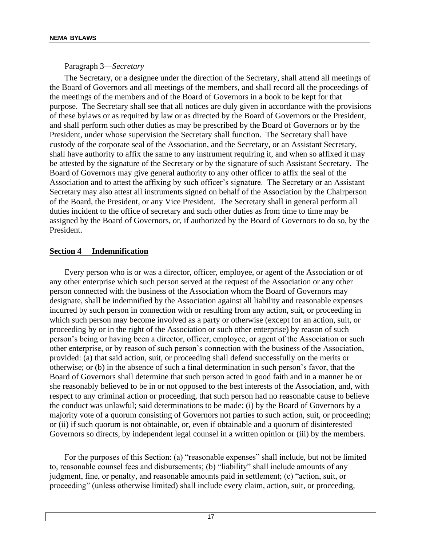Paragraph 3—*Secretary*

The Secretary, or a designee under the direction of the Secretary, shall attend all meetings of the Board of Governors and all meetings of the members, and shall record all the proceedings of the meetings of the members and of the Board of Governors in a book to be kept for that purpose. The Secretary shall see that all notices are duly given in accordance with the provisions of these bylaws or as required by law or as directed by the Board of Governors or the President, and shall perform such other duties as may be prescribed by the Board of Governors or by the President, under whose supervision the Secretary shall function. The Secretary shall have custody of the corporate seal of the Association, and the Secretary, or an Assistant Secretary, shall have authority to affix the same to any instrument requiring it, and when so affixed it may be attested by the signature of the Secretary or by the signature of such Assistant Secretary. The Board of Governors may give general authority to any other officer to affix the seal of the Association and to attest the affixing by such officer's signature. The Secretary or an Assistant Secretary may also attest all instruments signed on behalf of the Association by the Chairperson of the Board, the President, or any Vice President. The Secretary shall in general perform all duties incident to the office of secretary and such other duties as from time to time may be assigned by the Board of Governors, or, if authorized by the Board of Governors to do so, by the President.

# **Section 4 Indemnification**

Every person who is or was a director, officer, employee, or agent of the Association or of any other enterprise which such person served at the request of the Association or any other person connected with the business of the Association whom the Board of Governors may designate, shall be indemnified by the Association against all liability and reasonable expenses incurred by such person in connection with or resulting from any action, suit, or proceeding in which such person may become involved as a party or otherwise (except for an action, suit, or proceeding by or in the right of the Association or such other enterprise) by reason of such person's being or having been a director, officer, employee, or agent of the Association or such other enterprise, or by reason of such person's connection with the business of the Association, provided: (a) that said action, suit, or proceeding shall defend successfully on the merits or otherwise; or (b) in the absence of such a final determination in such person's favor, that the Board of Governors shall determine that such person acted in good faith and in a manner he or she reasonably believed to be in or not opposed to the best interests of the Association, and, with respect to any criminal action or proceeding, that such person had no reasonable cause to believe the conduct was unlawful; said determinations to be made: (i) by the Board of Governors by a majority vote of a quorum consisting of Governors not parties to such action, suit, or proceeding; or (ii) if such quorum is not obtainable, or, even if obtainable and a quorum of disinterested Governors so directs, by independent legal counsel in a written opinion or (iii) by the members.

For the purposes of this Section: (a) "reasonable expenses" shall include, but not be limited to, reasonable counsel fees and disbursements; (b) "liability" shall include amounts of any judgment, fine, or penalty, and reasonable amounts paid in settlement; (c) "action, suit, or proceeding" (unless otherwise limited) shall include every claim, action, suit, or proceeding,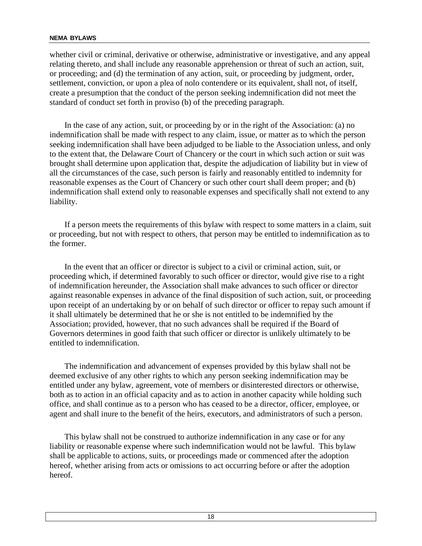whether civil or criminal, derivative or otherwise, administrative or investigative, and any appeal relating thereto, and shall include any reasonable apprehension or threat of such an action, suit, or proceeding; and (d) the termination of any action, suit, or proceeding by judgment, order, settlement, conviction, or upon a plea of nolo contendere or its equivalent, shall not, of itself, create a presumption that the conduct of the person seeking indemnification did not meet the standard of conduct set forth in proviso (b) of the preceding paragraph.

In the case of any action, suit, or proceeding by or in the right of the Association: (a) no indemnification shall be made with respect to any claim, issue, or matter as to which the person seeking indemnification shall have been adjudged to be liable to the Association unless, and only to the extent that, the Delaware Court of Chancery or the court in which such action or suit was brought shall determine upon application that, despite the adjudication of liability but in view of all the circumstances of the case, such person is fairly and reasonably entitled to indemnity for reasonable expenses as the Court of Chancery or such other court shall deem proper; and (b) indemnification shall extend only to reasonable expenses and specifically shall not extend to any liability.

If a person meets the requirements of this bylaw with respect to some matters in a claim, suit or proceeding, but not with respect to others, that person may be entitled to indemnification as to the former.

In the event that an officer or director is subject to a civil or criminal action, suit, or proceeding which, if determined favorably to such officer or director, would give rise to a right of indemnification hereunder, the Association shall make advances to such officer or director against reasonable expenses in advance of the final disposition of such action, suit, or proceeding upon receipt of an undertaking by or on behalf of such director or officer to repay such amount if it shall ultimately be determined that he or she is not entitled to be indemnified by the Association; provided, however, that no such advances shall be required if the Board of Governors determines in good faith that such officer or director is unlikely ultimately to be entitled to indemnification.

The indemnification and advancement of expenses provided by this bylaw shall not be deemed exclusive of any other rights to which any person seeking indemnification may be entitled under any bylaw, agreement, vote of members or disinterested directors or otherwise, both as to action in an official capacity and as to action in another capacity while holding such office, and shall continue as to a person who has ceased to be a director, officer, employee, or agent and shall inure to the benefit of the heirs, executors, and administrators of such a person.

This bylaw shall not be construed to authorize indemnification in any case or for any liability or reasonable expense where such indemnification would not be lawful. This bylaw shall be applicable to actions, suits, or proceedings made or commenced after the adoption hereof, whether arising from acts or omissions to act occurring before or after the adoption hereof.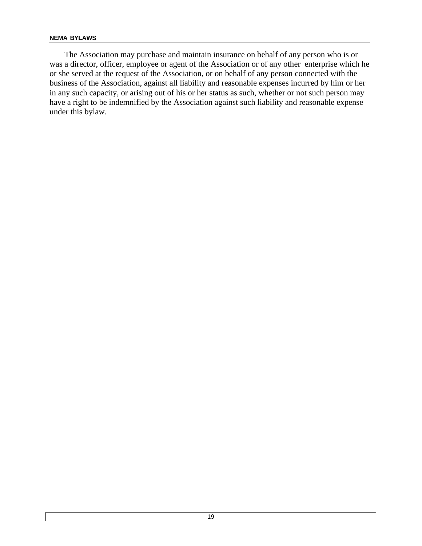The Association may purchase and maintain insurance on behalf of any person who is or was a director, officer, employee or agent of the Association or of any other enterprise which he or she served at the request of the Association, or on behalf of any person connected with the business of the Association, against all liability and reasonable expenses incurred by him or her in any such capacity, or arising out of his or her status as such, whether or not such person may have a right to be indemnified by the Association against such liability and reasonable expense under this bylaw.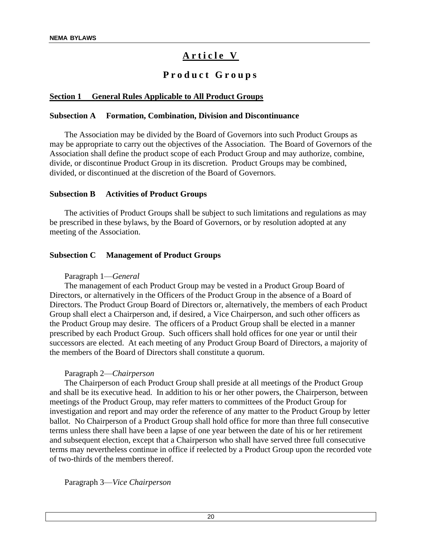# Article V

# **P r o d u c t G r o u p s**

# **Section 1 General Rules Applicable to All Product Groups**

#### **Subsection A Formation, Combination, Division and Discontinuance**

The Association may be divided by the Board of Governors into such Product Groups as may be appropriate to carry out the objectives of the Association. The Board of Governors of the Association shall define the product scope of each Product Group and may authorize, combine, divide, or discontinue Product Group in its discretion. Product Groups may be combined, divided, or discontinued at the discretion of the Board of Governors.

#### **Subsection B Activities of Product Groups**

The activities of Product Groups shall be subject to such limitations and regulations as may be prescribed in these bylaws, by the Board of Governors, or by resolution adopted at any meeting of the Association.

#### **Subsection C Management of Product Groups**

#### Paragraph 1—*General*

The management of each Product Group may be vested in a Product Group Board of Directors, or alternatively in the Officers of the Product Group in the absence of a Board of Directors. The Product Group Board of Directors or, alternatively, the members of each Product Group shall elect a Chairperson and, if desired, a Vice Chairperson, and such other officers as the Product Group may desire. The officers of a Product Group shall be elected in a manner prescribed by each Product Group. Such officers shall hold offices for one year or until their successors are elected. At each meeting of any Product Group Board of Directors, a majority of the members of the Board of Directors shall constitute a quorum.

#### Paragraph 2—*Chairperson*

The Chairperson of each Product Group shall preside at all meetings of the Product Group and shall be its executive head. In addition to his or her other powers, the Chairperson, between meetings of the Product Group, may refer matters to committees of the Product Group for investigation and report and may order the reference of any matter to the Product Group by letter ballot. No Chairperson of a Product Group shall hold office for more than three full consecutive terms unless there shall have been a lapse of one year between the date of his or her retirement and subsequent election, except that a Chairperson who shall have served three full consecutive terms may nevertheless continue in office if reelected by a Product Group upon the recorded vote of two-thirds of the members thereof.

Paragraph 3—*Vice Chairperson*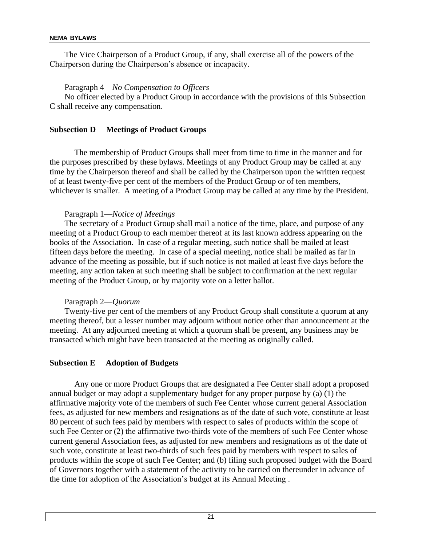The Vice Chairperson of a Product Group, if any, shall exercise all of the powers of the Chairperson during the Chairperson's absence or incapacity.

Paragraph 4—*No Compensation to Officers*

No officer elected by a Product Group in accordance with the provisions of this Subsection C shall receive any compensation.

#### **Subsection D Meetings of Product Groups**

The membership of Product Groups shall meet from time to time in the manner and for the purposes prescribed by these bylaws. Meetings of any Product Group may be called at any time by the Chairperson thereof and shall be called by the Chairperson upon the written request of at least twenty-five per cent of the members of the Product Group or of ten members, whichever is smaller. A meeting of a Product Group may be called at any time by the President.

#### Paragraph 1—*Notice of Meetings*

The secretary of a Product Group shall mail a notice of the time, place, and purpose of any meeting of a Product Group to each member thereof at its last known address appearing on the books of the Association. In case of a regular meeting, such notice shall be mailed at least fifteen days before the meeting. In case of a special meeting, notice shall be mailed as far in advance of the meeting as possible, but if such notice is not mailed at least five days before the meeting, any action taken at such meeting shall be subject to confirmation at the next regular meeting of the Product Group, or by majority vote on a letter ballot.

#### Paragraph 2—*Quorum*

Twenty-five per cent of the members of any Product Group shall constitute a quorum at any meeting thereof, but a lesser number may adjourn without notice other than announcement at the meeting. At any adjourned meeting at which a quorum shall be present, any business may be transacted which might have been transacted at the meeting as originally called.

#### **Subsection E Adoption of Budgets**

Any one or more Product Groups that are designated a Fee Center shall adopt a proposed annual budget or may adopt a supplementary budget for any proper purpose by (a) (1) the affirmative majority vote of the members of such Fee Center whose current general Association fees, as adjusted for new members and resignations as of the date of such vote, constitute at least 80 percent of such fees paid by members with respect to sales of products within the scope of such Fee Center or (2) the affirmative two-thirds vote of the members of such Fee Center whose current general Association fees, as adjusted for new members and resignations as of the date of such vote, constitute at least two-thirds of such fees paid by members with respect to sales of products within the scope of such Fee Center; and (b) filing such proposed budget with the Board of Governors together with a statement of the activity to be carried on thereunder in advance of the time for adoption of the Association's budget at its Annual Meeting .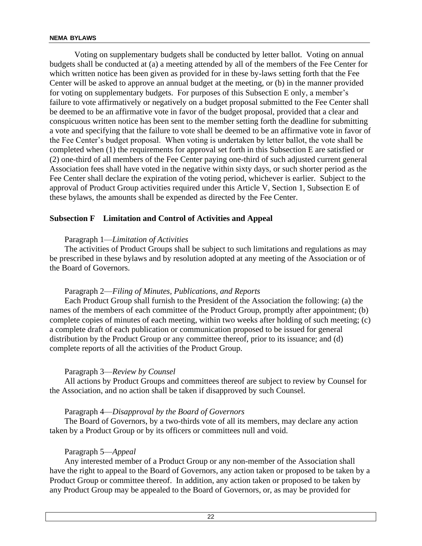Voting on supplementary budgets shall be conducted by letter ballot. Voting on annual budgets shall be conducted at (a) a meeting attended by all of the members of the Fee Center for which written notice has been given as provided for in these by-laws setting forth that the Fee Center will be asked to approve an annual budget at the meeting, or (b) in the manner provided for voting on supplementary budgets. For purposes of this Subsection E only, a member's failure to vote affirmatively or negatively on a budget proposal submitted to the Fee Center shall be deemed to be an affirmative vote in favor of the budget proposal, provided that a clear and conspicuous written notice has been sent to the member setting forth the deadline for submitting a vote and specifying that the failure to vote shall be deemed to be an affirmative vote in favor of the Fee Center's budget proposal. When voting is undertaken by letter ballot, the vote shall be completed when (1) the requirements for approval set forth in this Subsection E are satisfied or (2) one-third of all members of the Fee Center paying one-third of such adjusted current general Association fees shall have voted in the negative within sixty days, or such shorter period as the Fee Center shall declare the expiration of the voting period, whichever is earlier. Subject to the approval of Product Group activities required under this Article V, Section 1, Subsection E of these bylaws, the amounts shall be expended as directed by the Fee Center.

# **Subsection F Limitation and Control of Activities and Appeal**

#### Paragraph 1—*Limitation of Activities*

The activities of Product Groups shall be subject to such limitations and regulations as may be prescribed in these bylaws and by resolution adopted at any meeting of the Association or of the Board of Governors.

#### Paragraph 2—*Filing of Minutes, Publications, and Reports*

Each Product Group shall furnish to the President of the Association the following: (a) the names of the members of each committee of the Product Group, promptly after appointment; (b) complete copies of minutes of each meeting, within two weeks after holding of such meeting; (c) a complete draft of each publication or communication proposed to be issued for general distribution by the Product Group or any committee thereof, prior to its issuance; and (d) complete reports of all the activities of the Product Group.

#### Paragraph 3—*Review by Counsel*

All actions by Product Groups and committees thereof are subject to review by Counsel for the Association, and no action shall be taken if disapproved by such Counsel.

#### Paragraph 4—*Disapproval by the Board of Governors*

The Board of Governors, by a two-thirds vote of all its members, may declare any action taken by a Product Group or by its officers or committees null and void.

#### Paragraph 5—*Appeal*

Any interested member of a Product Group or any non-member of the Association shall have the right to appeal to the Board of Governors, any action taken or proposed to be taken by a Product Group or committee thereof. In addition, any action taken or proposed to be taken by any Product Group may be appealed to the Board of Governors, or, as may be provided for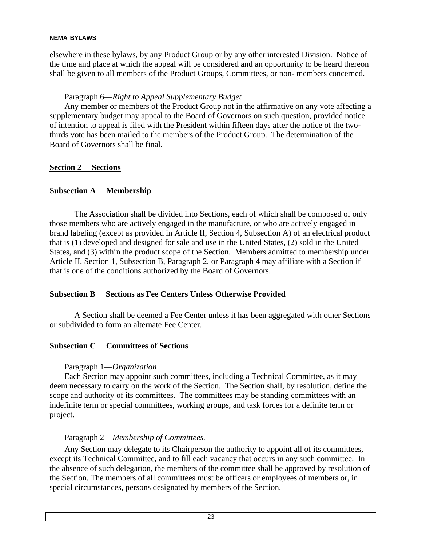elsewhere in these bylaws, by any Product Group or by any other interested Division. Notice of the time and place at which the appeal will be considered and an opportunity to be heard thereon shall be given to all members of the Product Groups, Committees, or non- members concerned.

# Paragraph 6—*Right to Appeal Supplementary Budget*

Any member or members of the Product Group not in the affirmative on any vote affecting a supplementary budget may appeal to the Board of Governors on such question, provided notice of intention to appeal is filed with the President within fifteen days after the notice of the twothirds vote has been mailed to the members of the Product Group. The determination of the Board of Governors shall be final.

# **Section 2 Sections**

# **Subsection A Membership**

The Association shall be divided into Sections, each of which shall be composed of only those members who are actively engaged in the manufacture, or who are actively engaged in brand labeling (except as provided in Article II, Section 4, Subsection A) of an electrical product that is (1) developed and designed for sale and use in the United States, (2) sold in the United States, and (3) within the product scope of the Section. Members admitted to membership under Article II, Section 1, Subsection B, Paragraph 2, or Paragraph 4 may affiliate with a Section if that is one of the conditions authorized by the Board of Governors.

# **Subsection B Sections as Fee Centers Unless Otherwise Provided**

A Section shall be deemed a Fee Center unless it has been aggregated with other Sections or subdivided to form an alternate Fee Center.

# **Subsection C Committees of Sections**

# Paragraph 1—*Organization*

Each Section may appoint such committees, including a Technical Committee, as it may deem necessary to carry on the work of the Section. The Section shall, by resolution, define the scope and authority of its committees. The committees may be standing committees with an indefinite term or special committees, working groups, and task forces for a definite term or project.

# Paragraph 2—*Membership of Committees.*

Any Section may delegate to its Chairperson the authority to appoint all of its committees, except its Technical Committee, and to fill each vacancy that occurs in any such committee. In the absence of such delegation, the members of the committee shall be approved by resolution of the Section. The members of all committees must be officers or employees of members or, in special circumstances, persons designated by members of the Section.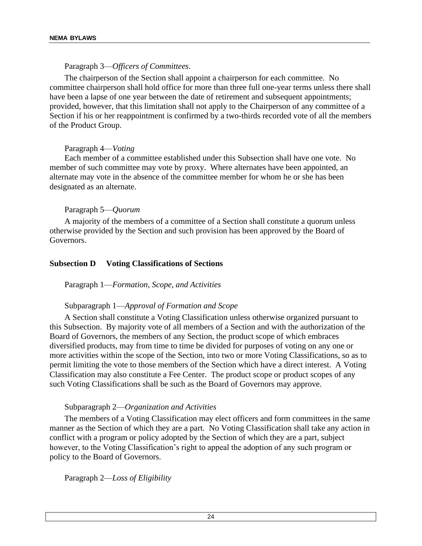#### Paragraph 3—*Officers of Committees*.

The chairperson of the Section shall appoint a chairperson for each committee. No committee chairperson shall hold office for more than three full one-year terms unless there shall have been a lapse of one year between the date of retirement and subsequent appointments; provided, however, that this limitation shall not apply to the Chairperson of any committee of a Section if his or her reappointment is confirmed by a two-thirds recorded vote of all the members of the Product Group.

#### Paragraph 4—*Voting*

Each member of a committee established under this Subsection shall have one vote. No member of such committee may vote by proxy. Where alternates have been appointed, an alternate may vote in the absence of the committee member for whom he or she has been designated as an alternate.

#### Paragraph 5—*Quorum*

A majority of the members of a committee of a Section shall constitute a quorum unless otherwise provided by the Section and such provision has been approved by the Board of Governors.

#### **Subsection D Voting Classifications of Sections**

Paragraph 1—*Formation, Scope, and Activities*

#### Subparagraph 1—*Approval of Formation and Scope*

A Section shall constitute a Voting Classification unless otherwise organized pursuant to this Subsection. By majority vote of all members of a Section and with the authorization of the Board of Governors, the members of any Section, the product scope of which embraces diversified products, may from time to time be divided for purposes of voting on any one or more activities within the scope of the Section, into two or more Voting Classifications, so as to permit limiting the vote to those members of the Section which have a direct interest. A Voting Classification may also constitute a Fee Center. The product scope or product scopes of any such Voting Classifications shall be such as the Board of Governors may approve.

#### Subparagraph 2—*Organization and Activities*

The members of a Voting Classification may elect officers and form committees in the same manner as the Section of which they are a part. No Voting Classification shall take any action in conflict with a program or policy adopted by the Section of which they are a part, subject however, to the Voting Classification's right to appeal the adoption of any such program or policy to the Board of Governors.

Paragraph 2—*Loss of Eligibility*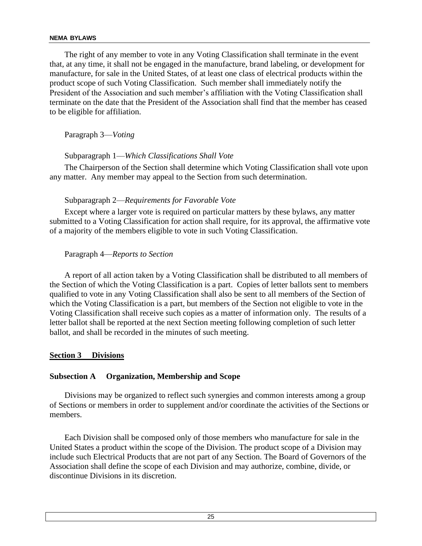The right of any member to vote in any Voting Classification shall terminate in the event that, at any time, it shall not be engaged in the manufacture, brand labeling, or development for manufacture, for sale in the United States, of at least one class of electrical products within the product scope of such Voting Classification. Such member shall immediately notify the President of the Association and such member's affiliation with the Voting Classification shall terminate on the date that the President of the Association shall find that the member has ceased to be eligible for affiliation.

Paragraph 3—*Voting*

# Subparagraph 1—*Which Classifications Shall Vote*

The Chairperson of the Section shall determine which Voting Classification shall vote upon any matter. Any member may appeal to the Section from such determination.

# Subparagraph 2—*Requirements for Favorable Vote*

Except where a larger vote is required on particular matters by these bylaws, any matter submitted to a Voting Classification for action shall require, for its approval, the affirmative vote of a majority of the members eligible to vote in such Voting Classification.

Paragraph 4—*Reports to Section*

A report of all action taken by a Voting Classification shall be distributed to all members of the Section of which the Voting Classification is a part. Copies of letter ballots sent to members qualified to vote in any Voting Classification shall also be sent to all members of the Section of which the Voting Classification is a part, but members of the Section not eligible to vote in the Voting Classification shall receive such copies as a matter of information only. The results of a letter ballot shall be reported at the next Section meeting following completion of such letter ballot, and shall be recorded in the minutes of such meeting.

#### **Section 3 Divisions**

# **Subsection A Organization, Membership and Scope**

Divisions may be organized to reflect such synergies and common interests among a group of Sections or members in order to supplement and/or coordinate the activities of the Sections or members.

Each Division shall be composed only of those members who manufacture for sale in the United States a product within the scope of the Division. The product scope of a Division may include such Electrical Products that are not part of any Section. The Board of Governors of the Association shall define the scope of each Division and may authorize, combine, divide, or discontinue Divisions in its discretion.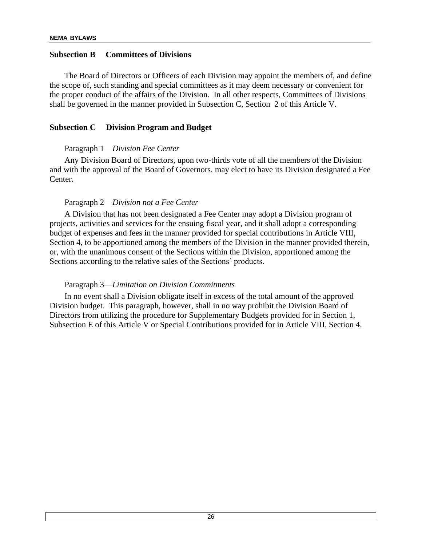#### **Subsection B Committees of Divisions**

The Board of Directors or Officers of each Division may appoint the members of, and define the scope of, such standing and special committees as it may deem necessary or convenient for the proper conduct of the affairs of the Division. In all other respects, Committees of Divisions shall be governed in the manner provided in Subsection C, Section 2 of this Article V.

#### **Subsection C Division Program and Budget**

#### Paragraph 1—*Division Fee Center*

Any Division Board of Directors, upon two-thirds vote of all the members of the Division and with the approval of the Board of Governors, may elect to have its Division designated a Fee Center.

#### Paragraph 2—*Division not a Fee Center*

A Division that has not been designated a Fee Center may adopt a Division program of projects, activities and services for the ensuing fiscal year, and it shall adopt a corresponding budget of expenses and fees in the manner provided for special contributions in Article VIII, Section 4, to be apportioned among the members of the Division in the manner provided therein, or, with the unanimous consent of the Sections within the Division, apportioned among the Sections according to the relative sales of the Sections' products.

#### Paragraph 3—*Limitation on Division Commitments*

In no event shall a Division obligate itself in excess of the total amount of the approved Division budget. This paragraph, however, shall in no way prohibit the Division Board of Directors from utilizing the procedure for Supplementary Budgets provided for in Section 1, Subsection E of this Article V or Special Contributions provided for in Article VIII, Section 4.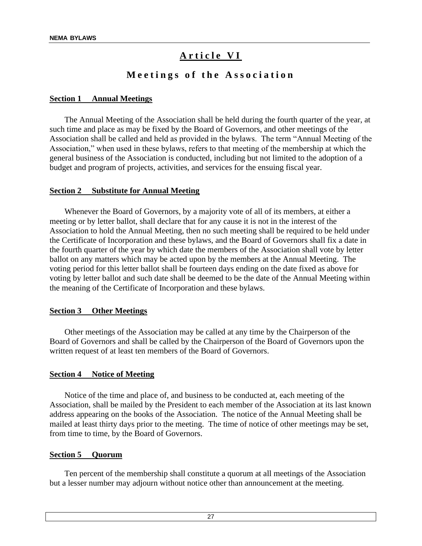# Article VI

# **M e e t i n g s o f t h e A s s o c i a t i o n**

#### **Section 1 Annual Meetings**

The Annual Meeting of the Association shall be held during the fourth quarter of the year, at such time and place as may be fixed by the Board of Governors, and other meetings of the Association shall be called and held as provided in the bylaws. The term "Annual Meeting of the Association," when used in these bylaws, refers to that meeting of the membership at which the general business of the Association is conducted, including but not limited to the adoption of a budget and program of projects, activities, and services for the ensuing fiscal year.

#### **Section 2 Substitute for Annual Meeting**

Whenever the Board of Governors, by a majority vote of all of its members, at either a meeting or by letter ballot, shall declare that for any cause it is not in the interest of the Association to hold the Annual Meeting, then no such meeting shall be required to be held under the Certificate of Incorporation and these bylaws, and the Board of Governors shall fix a date in the fourth quarter of the year by which date the members of the Association shall vote by letter ballot on any matters which may be acted upon by the members at the Annual Meeting. The voting period for this letter ballot shall be fourteen days ending on the date fixed as above for voting by letter ballot and such date shall be deemed to be the date of the Annual Meeting within the meaning of the Certificate of Incorporation and these bylaws.

#### **Section 3 Other Meetings**

Other meetings of the Association may be called at any time by the Chairperson of the Board of Governors and shall be called by the Chairperson of the Board of Governors upon the written request of at least ten members of the Board of Governors.

#### **Section 4 Notice of Meeting**

Notice of the time and place of, and business to be conducted at, each meeting of the Association, shall be mailed by the President to each member of the Association at its last known address appearing on the books of the Association. The notice of the Annual Meeting shall be mailed at least thirty days prior to the meeting. The time of notice of other meetings may be set, from time to time, by the Board of Governors.

#### **Section 5 Quorum**

Ten percent of the membership shall constitute a quorum at all meetings of the Association but a lesser number may adjourn without notice other than announcement at the meeting.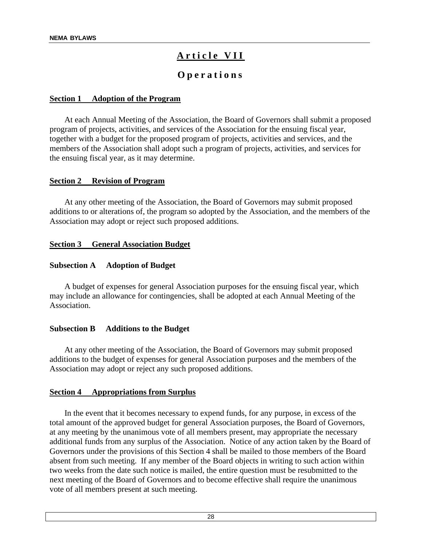# A r ticle VII

# **O p e r a t i o n s**

#### **Section 1 Adoption of the Program**

At each Annual Meeting of the Association, the Board of Governors shall submit a proposed program of projects, activities, and services of the Association for the ensuing fiscal year, together with a budget for the proposed program of projects, activities and services, and the members of the Association shall adopt such a program of projects, activities, and services for the ensuing fiscal year, as it may determine.

#### **Section 2 Revision of Program**

At any other meeting of the Association, the Board of Governors may submit proposed additions to or alterations of, the program so adopted by the Association, and the members of the Association may adopt or reject such proposed additions.

#### **Section 3 General Association Budget**

#### **Subsection A Adoption of Budget**

A budget of expenses for general Association purposes for the ensuing fiscal year, which may include an allowance for contingencies, shall be adopted at each Annual Meeting of the Association.

#### **Subsection B Additions to the Budget**

At any other meeting of the Association, the Board of Governors may submit proposed additions to the budget of expenses for general Association purposes and the members of the Association may adopt or reject any such proposed additions.

#### **Section 4 Appropriations from Surplus**

In the event that it becomes necessary to expend funds, for any purpose, in excess of the total amount of the approved budget for general Association purposes, the Board of Governors, at any meeting by the unanimous vote of all members present, may appropriate the necessary additional funds from any surplus of the Association. Notice of any action taken by the Board of Governors under the provisions of this Section 4 shall be mailed to those members of the Board absent from such meeting. If any member of the Board objects in writing to such action within two weeks from the date such notice is mailed, the entire question must be resubmitted to the next meeting of the Board of Governors and to become effective shall require the unanimous vote of all members present at such meeting.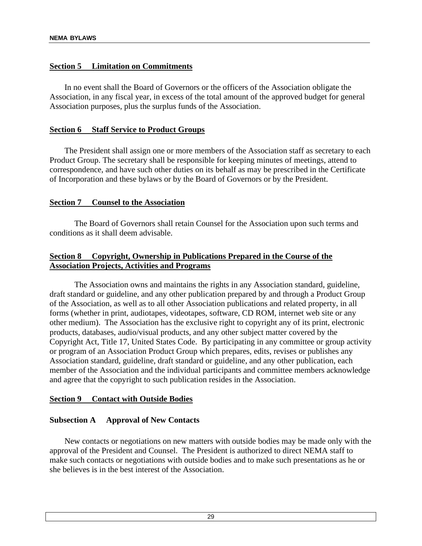# **Section 5 Limitation on Commitments**

In no event shall the Board of Governors or the officers of the Association obligate the Association, in any fiscal year, in excess of the total amount of the approved budget for general Association purposes, plus the surplus funds of the Association.

# **Section 6 Staff Service to Product Groups**

The President shall assign one or more members of the Association staff as secretary to each Product Group. The secretary shall be responsible for keeping minutes of meetings, attend to correspondence, and have such other duties on its behalf as may be prescribed in the Certificate of Incorporation and these bylaws or by the Board of Governors or by the President.

# **Section 7 Counsel to the Association**

The Board of Governors shall retain Counsel for the Association upon such terms and conditions as it shall deem advisable.

# **Section 8 Copyright, Ownership in Publications Prepared in the Course of the Association Projects, Activities and Programs**

The Association owns and maintains the rights in any Association standard, guideline, draft standard or guideline, and any other publication prepared by and through a Product Group of the Association, as well as to all other Association publications and related property, in all forms (whether in print, audiotapes, videotapes, software, CD ROM, internet web site or any other medium). The Association has the exclusive right to copyright any of its print, electronic products, databases, audio/visual products, and any other subject matter covered by the Copyright Act, Title 17, United States Code. By participating in any committee or group activity or program of an Association Product Group which prepares, edits, revises or publishes any Association standard, guideline, draft standard or guideline, and any other publication, each member of the Association and the individual participants and committee members acknowledge and agree that the copyright to such publication resides in the Association.

#### **Section 9 Contact with Outside Bodies**

# **Subsection A Approval of New Contacts**

New contacts or negotiations on new matters with outside bodies may be made only with the approval of the President and Counsel. The President is authorized to direct NEMA staff to make such contacts or negotiations with outside bodies and to make such presentations as he or she believes is in the best interest of the Association.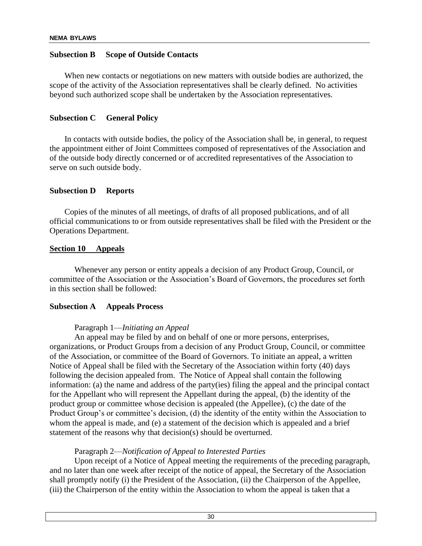# **Subsection B Scope of Outside Contacts**

When new contacts or negotiations on new matters with outside bodies are authorized, the scope of the activity of the Association representatives shall be clearly defined. No activities beyond such authorized scope shall be undertaken by the Association representatives.

# **Subsection C General Policy**

In contacts with outside bodies, the policy of the Association shall be, in general, to request the appointment either of Joint Committees composed of representatives of the Association and of the outside body directly concerned or of accredited representatives of the Association to serve on such outside body.

#### **Subsection D Reports**

Copies of the minutes of all meetings, of drafts of all proposed publications, and of all official communications to or from outside representatives shall be filed with the President or the Operations Department.

#### **Section 10 Appeals**

Whenever any person or entity appeals a decision of any Product Group, Council, or committee of the Association or the Association's Board of Governors, the procedures set forth in this section shall be followed:

#### **Subsection A Appeals Process**

#### Paragraph 1—*Initiating an Appeal*

An appeal may be filed by and on behalf of one or more persons, enterprises, organizations, or Product Groups from a decision of any Product Group, Council, or committee of the Association, or committee of the Board of Governors. To initiate an appeal, a written Notice of Appeal shall be filed with the Secretary of the Association within forty (40) days following the decision appealed from. The Notice of Appeal shall contain the following information: (a) the name and address of the party(ies) filing the appeal and the principal contact for the Appellant who will represent the Appellant during the appeal, (b) the identity of the product group or committee whose decision is appealed (the Appellee), (c) the date of the Product Group's or committee's decision, (d) the identity of the entity within the Association to whom the appeal is made, and (e) a statement of the decision which is appealed and a brief statement of the reasons why that decision(s) should be overturned.

# Paragraph 2—*Notification of Appeal to Interested Parties*

Upon receipt of a Notice of Appeal meeting the requirements of the preceding paragraph, and no later than one week after receipt of the notice of appeal, the Secretary of the Association shall promptly notify (i) the President of the Association, (ii) the Chairperson of the Appellee, (iii) the Chairperson of the entity within the Association to whom the appeal is taken that a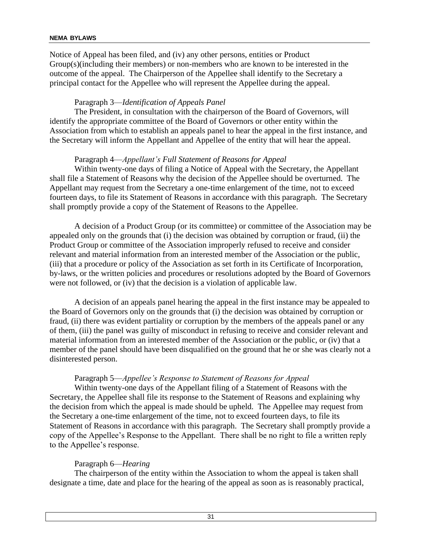Notice of Appeal has been filed, and (iv) any other persons, entities or Product Group(s)(including their members) or non-members who are known to be interested in the outcome of the appeal. The Chairperson of the Appellee shall identify to the Secretary a principal contact for the Appellee who will represent the Appellee during the appeal.

# Paragraph 3—*Identification of Appeals Panel*

The President, in consultation with the chairperson of the Board of Governors, will identify the appropriate committee of the Board of Governors or other entity within the Association from which to establish an appeals panel to hear the appeal in the first instance, and the Secretary will inform the Appellant and Appellee of the entity that will hear the appeal.

#### Paragraph 4—*Appellant's Full Statement of Reasons for Appeal*

Within twenty-one days of filing a Notice of Appeal with the Secretary, the Appellant shall file a Statement of Reasons why the decision of the Appellee should be overturned. The Appellant may request from the Secretary a one-time enlargement of the time, not to exceed fourteen days, to file its Statement of Reasons in accordance with this paragraph. The Secretary shall promptly provide a copy of the Statement of Reasons to the Appellee.

A decision of a Product Group (or its committee) or committee of the Association may be appealed only on the grounds that (i) the decision was obtained by corruption or fraud, (ii) the Product Group or committee of the Association improperly refused to receive and consider relevant and material information from an interested member of the Association or the public, (iii) that a procedure or policy of the Association as set forth in its Certificate of Incorporation, by-laws, or the written policies and procedures or resolutions adopted by the Board of Governors were not followed, or (iv) that the decision is a violation of applicable law.

A decision of an appeals panel hearing the appeal in the first instance may be appealed to the Board of Governors only on the grounds that (i) the decision was obtained by corruption or fraud, (ii) there was evident partiality or corruption by the members of the appeals panel or any of them, (iii) the panel was guilty of misconduct in refusing to receive and consider relevant and material information from an interested member of the Association or the public, or (iv) that a member of the panel should have been disqualified on the ground that he or she was clearly not a disinterested person.

#### Paragraph 5—*Appellee's Response to Statement of Reasons for Appeal*

Within twenty-one days of the Appellant filing of a Statement of Reasons with the Secretary, the Appellee shall file its response to the Statement of Reasons and explaining why the decision from which the appeal is made should be upheld. The Appellee may request from the Secretary a one-time enlargement of the time, not to exceed fourteen days, to file its Statement of Reasons in accordance with this paragraph. The Secretary shall promptly provide a copy of the Appellee's Response to the Appellant. There shall be no right to file a written reply to the Appellee's response.

# Paragraph 6—*Hearing*

The chairperson of the entity within the Association to whom the appeal is taken shall designate a time, date and place for the hearing of the appeal as soon as is reasonably practical,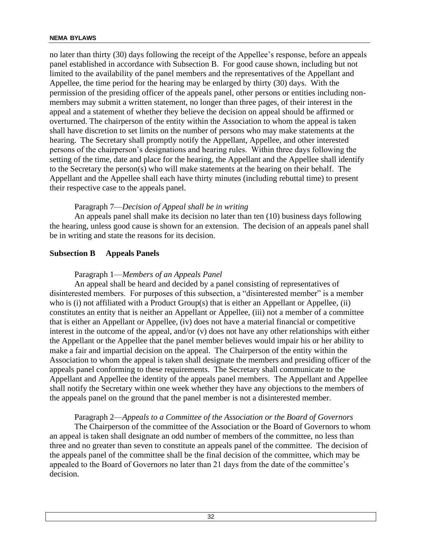no later than thirty (30) days following the receipt of the Appellee's response, before an appeals panel established in accordance with Subsection B. For good cause shown, including but not limited to the availability of the panel members and the representatives of the Appellant and Appellee, the time period for the hearing may be enlarged by thirty (30) days. With the permission of the presiding officer of the appeals panel, other persons or entities including nonmembers may submit a written statement, no longer than three pages, of their interest in the appeal and a statement of whether they believe the decision on appeal should be affirmed or overturned. The chairperson of the entity within the Association to whom the appeal is taken shall have discretion to set limits on the number of persons who may make statements at the hearing. The Secretary shall promptly notify the Appellant, Appellee, and other interested persons of the chairperson's designations and hearing rules. Within three days following the setting of the time, date and place for the hearing, the Appellant and the Appellee shall identify to the Secretary the person(s) who will make statements at the hearing on their behalf. The Appellant and the Appellee shall each have thirty minutes (including rebuttal time) to present their respective case to the appeals panel.

#### Paragraph 7—*Decision of Appeal shall be in writing*

An appeals panel shall make its decision no later than ten (10) business days following the hearing, unless good cause is shown for an extension. The decision of an appeals panel shall be in writing and state the reasons for its decision.

# **Subsection B Appeals Panels**

### Paragraph 1—*Members of an Appeals Panel*

An appeal shall be heard and decided by a panel consisting of representatives of disinterested members. For purposes of this subsection, a "disinterested member" is a member who is (i) not affiliated with a Product Group(s) that is either an Appellant or Appellee, (ii) constitutes an entity that is neither an Appellant or Appellee, (iii) not a member of a committee that is either an Appellant or Appellee, (iv) does not have a material financial or competitive interest in the outcome of the appeal, and/or (v) does not have any other relationships with either the Appellant or the Appellee that the panel member believes would impair his or her ability to make a fair and impartial decision on the appeal. The Chairperson of the entity within the Association to whom the appeal is taken shall designate the members and presiding officer of the appeals panel conforming to these requirements. The Secretary shall communicate to the Appellant and Appellee the identity of the appeals panel members. The Appellant and Appellee shall notify the Secretary within one week whether they have any objections to the members of the appeals panel on the ground that the panel member is not a disinterested member.

#### Paragraph 2—*Appeals to a Committee of the Association or the Board of Governors*

The Chairperson of the committee of the Association or the Board of Governors to whom an appeal is taken shall designate an odd number of members of the committee, no less than three and no greater than seven to constitute an appeals panel of the committee. The decision of the appeals panel of the committee shall be the final decision of the committee, which may be appealed to the Board of Governors no later than 21 days from the date of the committee's decision.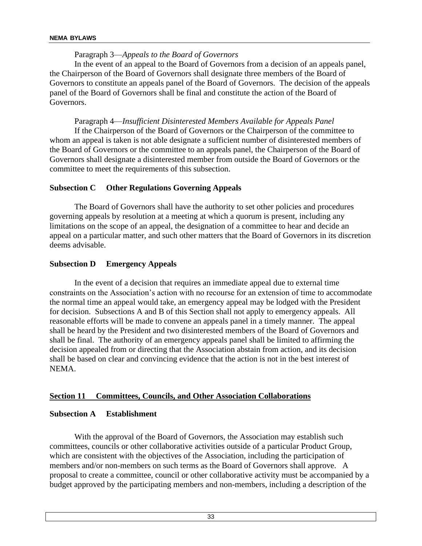# Paragraph 3—*Appeals to the Board of Governors*

In the event of an appeal to the Board of Governors from a decision of an appeals panel, the Chairperson of the Board of Governors shall designate three members of the Board of Governors to constitute an appeals panel of the Board of Governors. The decision of the appeals panel of the Board of Governors shall be final and constitute the action of the Board of Governors.

Paragraph 4—*Insufficient Disinterested Members Available for Appeals Panel*

If the Chairperson of the Board of Governors or the Chairperson of the committee to whom an appeal is taken is not able designate a sufficient number of disinterested members of the Board of Governors or the committee to an appeals panel, the Chairperson of the Board of Governors shall designate a disinterested member from outside the Board of Governors or the committee to meet the requirements of this subsection.

# **Subsection C Other Regulations Governing Appeals**

The Board of Governors shall have the authority to set other policies and procedures governing appeals by resolution at a meeting at which a quorum is present, including any limitations on the scope of an appeal, the designation of a committee to hear and decide an appeal on a particular matter, and such other matters that the Board of Governors in its discretion deems advisable.

# **Subsection D Emergency Appeals**

In the event of a decision that requires an immediate appeal due to external time constraints on the Association's action with no recourse for an extension of time to accommodate the normal time an appeal would take, an emergency appeal may be lodged with the President for decision. Subsections A and B of this Section shall not apply to emergency appeals. All reasonable efforts will be made to convene an appeals panel in a timely manner. The appeal shall be heard by the President and two disinterested members of the Board of Governors and shall be final. The authority of an emergency appeals panel shall be limited to affirming the decision appealed from or directing that the Association abstain from action, and its decision shall be based on clear and convincing evidence that the action is not in the best interest of NEMA.

# **Section 11 Committees, Councils, and Other Association Collaborations**

# **Subsection A Establishment**

With the approval of the Board of Governors, the Association may establish such committees, councils or other collaborative activities outside of a particular Product Group, which are consistent with the objectives of the Association, including the participation of members and/or non-members on such terms as the Board of Governors shall approve. A proposal to create a committee, council or other collaborative activity must be accompanied by a budget approved by the participating members and non-members, including a description of the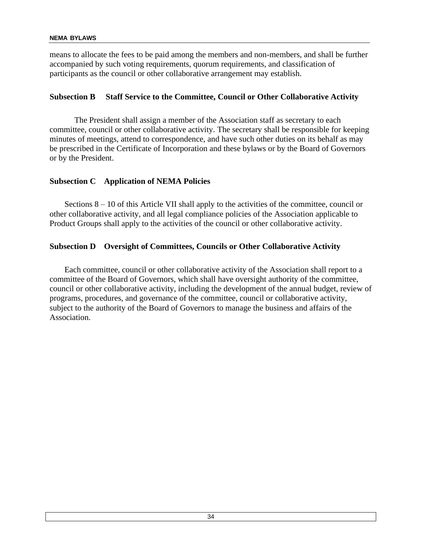means to allocate the fees to be paid among the members and non-members, and shall be further accompanied by such voting requirements, quorum requirements, and classification of participants as the council or other collaborative arrangement may establish.

# **Subsection B Staff Service to the Committee, Council or Other Collaborative Activity**

The President shall assign a member of the Association staff as secretary to each committee, council or other collaborative activity. The secretary shall be responsible for keeping minutes of meetings, attend to correspondence, and have such other duties on its behalf as may be prescribed in the Certificate of Incorporation and these bylaws or by the Board of Governors or by the President.

# **Subsection C Application of NEMA Policies**

Sections 8 – 10 of this Article VII shall apply to the activities of the committee, council or other collaborative activity, and all legal compliance policies of the Association applicable to Product Groups shall apply to the activities of the council or other collaborative activity.

# **Subsection D Oversight of Committees, Councils or Other Collaborative Activity**

Each committee, council or other collaborative activity of the Association shall report to a committee of the Board of Governors, which shall have oversight authority of the committee, council or other collaborative activity, including the development of the annual budget, review of programs, procedures, and governance of the committee, council or collaborative activity, subject to the authority of the Board of Governors to manage the business and affairs of the Association.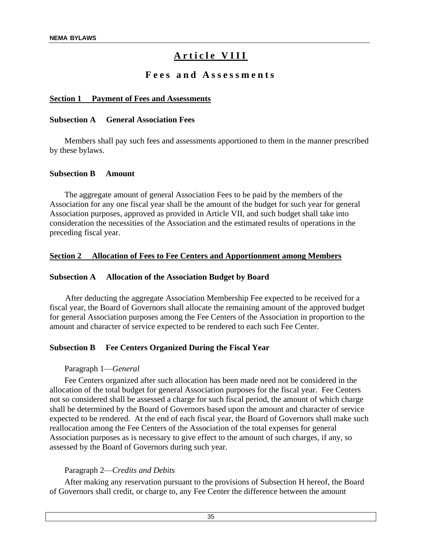# A r ticle VIII

# **F e e s a n d A s s e s s m e n t s**

#### **Section 1 Payment of Fees and Assessments**

#### **Subsection A General Association Fees**

Members shall pay such fees and assessments apportioned to them in the manner prescribed by these bylaws.

#### **Subsection B Amount**

The aggregate amount of general Association Fees to be paid by the members of the Association for any one fiscal year shall be the amount of the budget for such year for general Association purposes, approved as provided in Article VII, and such budget shall take into consideration the necessities of the Association and the estimated results of operations in the preceding fiscal year.

#### **Section 2 Allocation of Fees to Fee Centers and Apportionment among Members**

#### **Subsection A Allocation of the Association Budget by Board**

After deducting the aggregate Association Membership Fee expected to be received for a fiscal year, the Board of Governors shall allocate the remaining amount of the approved budget for general Association purposes among the Fee Centers of the Association in proportion to the amount and character of service expected to be rendered to each such Fee Center.

#### **Subsection B Fee Centers Organized During the Fiscal Year**

#### Paragraph 1—*General*

Fee Centers organized after such allocation has been made need not be considered in the allocation of the total budget for general Association purposes for the fiscal year. Fee Centers not so considered shall be assessed a charge for such fiscal period, the amount of which charge shall be determined by the Board of Governors based upon the amount and character of service expected to be rendered. At the end of each fiscal year, the Board of Governors shall make such reallocation among the Fee Centers of the Association of the total expenses for general Association purposes as is necessary to give effect to the amount of such charges, if any, so assessed by the Board of Governors during such year.

#### Paragraph 2—*Credits and Debits*

After making any reservation pursuant to the provisions of Subsection H hereof, the Board of Governors shall credit, or charge to, any Fee Center the difference between the amount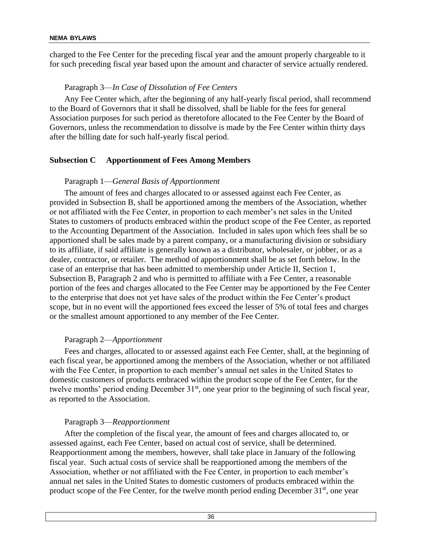charged to the Fee Center for the preceding fiscal year and the amount properly chargeable to it for such preceding fiscal year based upon the amount and character of service actually rendered.

# Paragraph 3—*In Case of Dissolution of Fee Centers*

Any Fee Center which, after the beginning of any half-yearly fiscal period, shall recommend to the Board of Governors that it shall be dissolved, shall be liable for the fees for general Association purposes for such period as theretofore allocated to the Fee Center by the Board of Governors, unless the recommendation to dissolve is made by the Fee Center within thirty days after the billing date for such half-yearly fiscal period.

# **Subsection C Apportionment of Fees Among Members**

# Paragraph 1—*General Basis of Apportionment*

The amount of fees and charges allocated to or assessed against each Fee Center, as provided in Subsection B, shall be apportioned among the members of the Association, whether or not affiliated with the Fee Center, in proportion to each member's net sales in the United States to customers of products embraced within the product scope of the Fee Center, as reported to the Accounting Department of the Association. Included in sales upon which fees shall be so apportioned shall be sales made by a parent company, or a manufacturing division or subsidiary to its affiliate, if said affiliate is generally known as a distributor, wholesaler, or jobber, or as a dealer, contractor, or retailer. The method of apportionment shall be as set forth below. In the case of an enterprise that has been admitted to membership under Article II, Section 1, Subsection B, Paragraph 2 and who is permitted to affiliate with a Fee Center, a reasonable portion of the fees and charges allocated to the Fee Center may be apportioned by the Fee Center to the enterprise that does not yet have sales of the product within the Fee Center's product scope, but in no event will the apportioned fees exceed the lesser of 5% of total fees and charges or the smallest amount apportioned to any member of the Fee Center.

#### Paragraph 2—*Apportionment*

Fees and charges, allocated to or assessed against each Fee Center, shall, at the beginning of each fiscal year, be apportioned among the members of the Association, whether or not affiliated with the Fee Center, in proportion to each member's annual net sales in the United States to domestic customers of products embraced within the product scope of the Fee Center, for the twelve months' period ending December 31<sup>st</sup>, one year prior to the beginning of such fiscal year, as reported to the Association.

#### Paragraph 3—*Reapportionment*

After the completion of the fiscal year, the amount of fees and charges allocated to, or assessed against, each Fee Center, based on actual cost of service, shall be determined. Reapportionment among the members, however, shall take place in January of the following fiscal year. Such actual costs of service shall be reapportioned among the members of the Association, whether or not affiliated with the Fee Center, in proportion to each member's annual net sales in the United States to domestic customers of products embraced within the product scope of the Fee Center, for the twelve month period ending December 31<sup>st</sup>, one year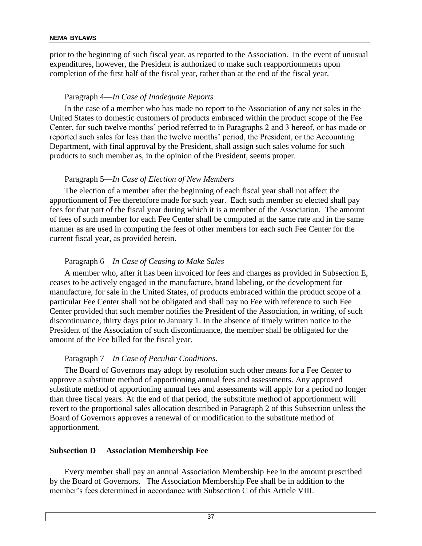prior to the beginning of such fiscal year, as reported to the Association. In the event of unusual expenditures, however, the President is authorized to make such reapportionments upon completion of the first half of the fiscal year, rather than at the end of the fiscal year.

#### Paragraph 4—*In Case of Inadequate Reports*

In the case of a member who has made no report to the Association of any net sales in the United States to domestic customers of products embraced within the product scope of the Fee Center, for such twelve months' period referred to in Paragraphs 2 and 3 hereof, or has made or reported such sales for less than the twelve months' period, the President, or the Accounting Department, with final approval by the President, shall assign such sales volume for such products to such member as, in the opinion of the President, seems proper.

#### Paragraph 5—*In Case of Election of New Members*

The election of a member after the beginning of each fiscal year shall not affect the apportionment of Fee theretofore made for such year. Each such member so elected shall pay fees for that part of the fiscal year during which it is a member of the Association. The amount of fees of such member for each Fee Center shall be computed at the same rate and in the same manner as are used in computing the fees of other members for each such Fee Center for the current fiscal year, as provided herein.

#### Paragraph 6—*In Case of Ceasing to Make Sales*

A member who, after it has been invoiced for fees and charges as provided in Subsection E, ceases to be actively engaged in the manufacture, brand labeling, or the development for manufacture, for sale in the United States, of products embraced within the product scope of a particular Fee Center shall not be obligated and shall pay no Fee with reference to such Fee Center provided that such member notifies the President of the Association, in writing, of such discontinuance, thirty days prior to January 1. In the absence of timely written notice to the President of the Association of such discontinuance, the member shall be obligated for the amount of the Fee billed for the fiscal year.

#### Paragraph 7—*In Case of Peculiar Conditions*.

The Board of Governors may adopt by resolution such other means for a Fee Center to approve a substitute method of apportioning annual fees and assessments. Any approved substitute method of apportioning annual fees and assessments will apply for a period no longer than three fiscal years. At the end of that period, the substitute method of apportionment will revert to the proportional sales allocation described in Paragraph 2 of this Subsection unless the Board of Governors approves a renewal of or modification to the substitute method of apportionment.

#### **Subsection D Association Membership Fee**

Every member shall pay an annual Association Membership Fee in the amount prescribed by the Board of Governors. The Association Membership Fee shall be in addition to the member's fees determined in accordance with Subsection C of this Article VIII.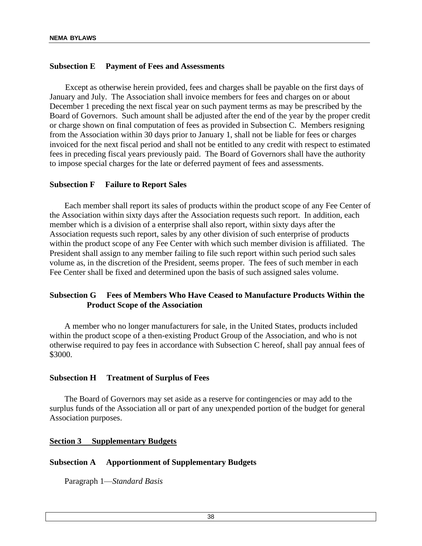### **Subsection E Payment of Fees and Assessments**

Except as otherwise herein provided, fees and charges shall be payable on the first days of January and July. The Association shall invoice members for fees and charges on or about December 1 preceding the next fiscal year on such payment terms as may be prescribed by the Board of Governors. Such amount shall be adjusted after the end of the year by the proper credit or charge shown on final computation of fees as provided in Subsection C. Members resigning from the Association within 30 days prior to January 1, shall not be liable for fees or charges invoiced for the next fiscal period and shall not be entitled to any credit with respect to estimated fees in preceding fiscal years previously paid. The Board of Governors shall have the authority to impose special charges for the late or deferred payment of fees and assessments.

#### **Subsection F Failure to Report Sales**

Each member shall report its sales of products within the product scope of any Fee Center of the Association within sixty days after the Association requests such report. In addition, each member which is a division of a enterprise shall also report, within sixty days after the Association requests such report, sales by any other division of such enterprise of products within the product scope of any Fee Center with which such member division is affiliated. The President shall assign to any member failing to file such report within such period such sales volume as, in the discretion of the President, seems proper. The fees of such member in each Fee Center shall be fixed and determined upon the basis of such assigned sales volume.

# **Subsection G Fees of Members Who Have Ceased to Manufacture Products Within the Product Scope of the Association**

A member who no longer manufacturers for sale, in the United States, products included within the product scope of a then-existing Product Group of the Association, and who is not otherwise required to pay fees in accordance with Subsection C hereof, shall pay annual fees of \$3000.

#### **Subsection H Treatment of Surplus of Fees**

The Board of Governors may set aside as a reserve for contingencies or may add to the surplus funds of the Association all or part of any unexpended portion of the budget for general Association purposes.

#### **Section 3 Supplementary Budgets**

#### **Subsection A Apportionment of Supplementary Budgets**

Paragraph 1—*Standard Basis*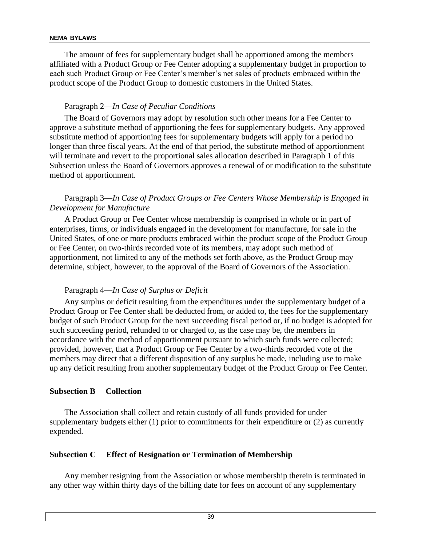The amount of fees for supplementary budget shall be apportioned among the members affiliated with a Product Group or Fee Center adopting a supplementary budget in proportion to each such Product Group or Fee Center's member's net sales of products embraced within the product scope of the Product Group to domestic customers in the United States.

# Paragraph 2—*In Case of Peculiar Conditions*

The Board of Governors may adopt by resolution such other means for a Fee Center to approve a substitute method of apportioning the fees for supplementary budgets. Any approved substitute method of apportioning fees for supplementary budgets will apply for a period no longer than three fiscal years. At the end of that period, the substitute method of apportionment will terminate and revert to the proportional sales allocation described in Paragraph 1 of this Subsection unless the Board of Governors approves a renewal of or modification to the substitute method of apportionment.

# Paragraph 3—*In Case of Product Groups or Fee Centers Whose Membership is Engaged in Development for Manufacture*

A Product Group or Fee Center whose membership is comprised in whole or in part of enterprises, firms, or individuals engaged in the development for manufacture, for sale in the United States, of one or more products embraced within the product scope of the Product Group or Fee Center, on two-thirds recorded vote of its members, may adopt such method of apportionment, not limited to any of the methods set forth above, as the Product Group may determine, subject, however, to the approval of the Board of Governors of the Association.

#### Paragraph 4—*In Case of Surplus or Deficit*

Any surplus or deficit resulting from the expenditures under the supplementary budget of a Product Group or Fee Center shall be deducted from, or added to, the fees for the supplementary budget of such Product Group for the next succeeding fiscal period or, if no budget is adopted for such succeeding period, refunded to or charged to, as the case may be, the members in accordance with the method of apportionment pursuant to which such funds were collected; provided, however, that a Product Group or Fee Center by a two-thirds recorded vote of the members may direct that a different disposition of any surplus be made, including use to make up any deficit resulting from another supplementary budget of the Product Group or Fee Center.

#### **Subsection B Collection**

The Association shall collect and retain custody of all funds provided for under supplementary budgets either (1) prior to commitments for their expenditure or (2) as currently expended.

# **Subsection C Effect of Resignation or Termination of Membership**

Any member resigning from the Association or whose membership therein is terminated in any other way within thirty days of the billing date for fees on account of any supplementary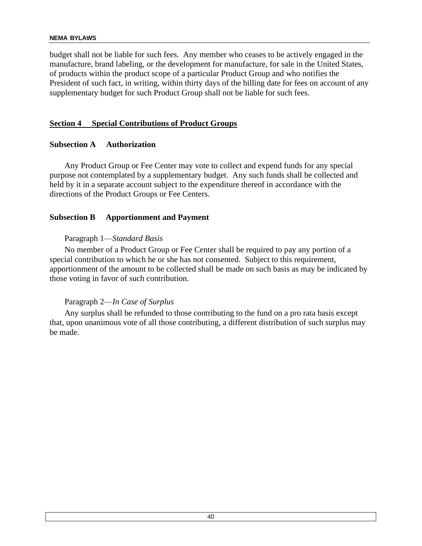budget shall not be liable for such fees. Any member who ceases to be actively engaged in the manufacture, brand labeling, or the development for manufacture, for sale in the United States, of products within the product scope of a particular Product Group and who notifies the President of such fact, in writing, within thirty days of the billing date for fees on account of any supplementary budget for such Product Group shall not be liable for such fees.

### **Section 4 Special Contributions of Product Groups**

#### **Subsection A Authorization**

Any Product Group or Fee Center may vote to collect and expend funds for any special purpose not contemplated by a supplementary budget. Any such funds shall be collected and held by it in a separate account subject to the expenditure thereof in accordance with the directions of the Product Groups or Fee Centers.

# **Subsection B Apportionment and Payment**

#### Paragraph 1—*Standard Basis*

No member of a Product Group or Fee Center shall be required to pay any portion of a special contribution to which he or she has not consented. Subject to this requirement, apportionment of the amount to be collected shall be made on such basis as may be indicated by those voting in favor of such contribution.

# Paragraph 2—*In Case of Surplus*

Any surplus shall be refunded to those contributing to the fund on a pro rata basis except that, upon unanimous vote of all those contributing, a different distribution of such surplus may be made.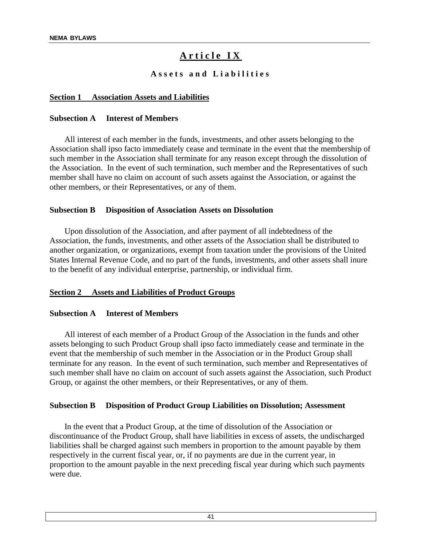# Article IX

# **A s s e t s a n d L i a b i l i t i e s**

#### **Section 1 Association Assets and Liabilities**

#### **Subsection A Interest of Members**

All interest of each member in the funds, investments, and other assets belonging to the Association shall ipso facto immediately cease and terminate in the event that the membership of such member in the Association shall terminate for any reason except through the dissolution of the Association. In the event of such termination, such member and the Representatives of such member shall have no claim on account of such assets against the Association, or against the other members, or their Representatives, or any of them.

#### **Subsection B Disposition of Association Assets on Dissolution**

Upon dissolution of the Association, and after payment of all indebtedness of the Association, the funds, investments, and other assets of the Association shall be distributed to another organization, or organizations, exempt from taxation under the provisions of the United States Internal Revenue Code, and no part of the funds, investments, and other assets shall inure to the benefit of any individual enterprise, partnership, or individual firm.

#### **Section 2 Assets and Liabilities of Product Groups**

#### **Subsection A Interest of Members**

All interest of each member of a Product Group of the Association in the funds and other assets belonging to such Product Group shall ipso facto immediately cease and terminate in the event that the membership of such member in the Association or in the Product Group shall terminate for any reason. In the event of such termination, such member and Representatives of such member shall have no claim on account of such assets against the Association, such Product Group, or against the other members, or their Representatives, or any of them.

#### **Subsection B Disposition of Product Group Liabilities on Dissolution; Assessment**

In the event that a Product Group, at the time of dissolution of the Association or discontinuance of the Product Group, shall have liabilities in excess of assets, the undischarged liabilities shall be charged against such members in proportion to the amount payable by them respectively in the current fiscal year, or, if no payments are due in the current year, in proportion to the amount payable in the next preceding fiscal year during which such payments were due.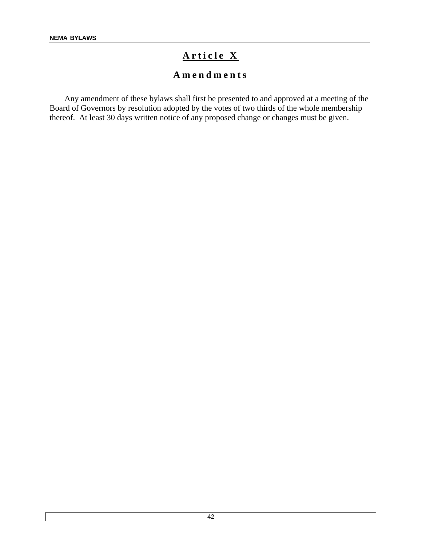# Article X

# **A m e n d m e n t s**

Any amendment of these bylaws shall first be presented to and approved at a meeting of the Board of Governors by resolution adopted by the votes of two thirds of the whole membership thereof. At least 30 days written notice of any proposed change or changes must be given.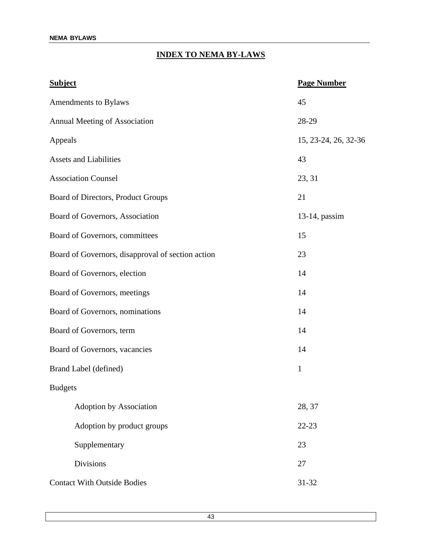# **INDEX TO NEMA BY-LAWS**

| <b>Subject</b>                                    | <b>Page Number</b>   |
|---------------------------------------------------|----------------------|
| Amendments to Bylaws                              | 45                   |
| Annual Meeting of Association                     | 28-29                |
| Appeals                                           | 15, 23-24, 26, 32-36 |
| <b>Assets and Liabilities</b>                     | 43                   |
| <b>Association Counsel</b>                        | 23, 31               |
| Board of Directors, Product Groups                | 21                   |
| Board of Governors, Association                   | $13-14$ , passim     |
| Board of Governors, committees                    | 15                   |
| Board of Governors, disapproval of section action | 23                   |
| Board of Governors, election                      | 14                   |
| Board of Governors, meetings                      | 14                   |
| Board of Governors, nominations                   | 14                   |
| Board of Governors, term                          | 14                   |
| Board of Governors, vacancies                     | 14                   |
| Brand Label (defined)                             | $\mathbf{1}$         |
| <b>Budgets</b>                                    |                      |
| <b>Adoption by Association</b>                    | 28, 37               |
| Adoption by product groups                        | $22 - 23$            |
| Supplementary                                     | 23                   |
| <b>Divisions</b>                                  | 27                   |
| <b>Contact With Outside Bodies</b>                | $31 - 32$            |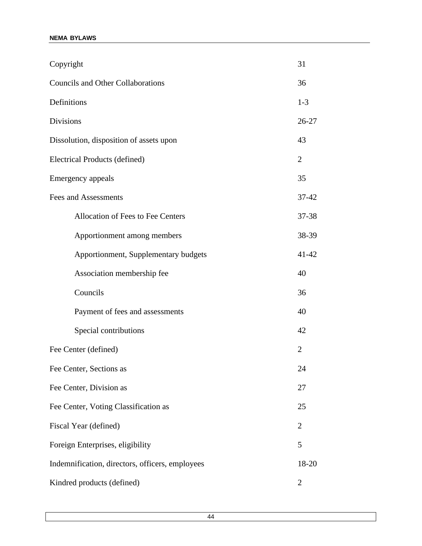| Copyright                                       | 31             |
|-------------------------------------------------|----------------|
| <b>Councils and Other Collaborations</b>        | 36             |
| Definitions                                     | $1 - 3$        |
| <b>Divisions</b>                                | 26-27          |
| Dissolution, disposition of assets upon         | 43             |
| Electrical Products (defined)                   | $\overline{2}$ |
| Emergency appeals                               | 35             |
| <b>Fees and Assessments</b>                     | $37 - 42$      |
| Allocation of Fees to Fee Centers               | 37-38          |
| Apportionment among members                     | 38-39          |
| Apportionment, Supplementary budgets            | $41 - 42$      |
| Association membership fee                      | 40             |
| Councils                                        | 36             |
| Payment of fees and assessments                 | 40             |
| Special contributions                           | 42             |
| Fee Center (defined)                            | $\overline{2}$ |
| Fee Center, Sections as                         | 24             |
| Fee Center, Division as                         | 27             |
| Fee Center, Voting Classification as            | 25             |
| Fiscal Year (defined)                           | $\overline{2}$ |
| Foreign Enterprises, eligibility                | 5              |
| Indemnification, directors, officers, employees | 18-20          |
| Kindred products (defined)                      | $\overline{2}$ |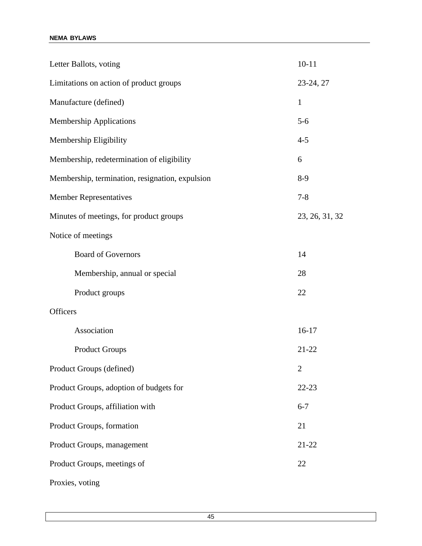| Letter Ballots, voting                          | $10 - 11$      |
|-------------------------------------------------|----------------|
| Limitations on action of product groups         | 23-24, 27      |
| Manufacture (defined)                           | $\mathbf{1}$   |
| <b>Membership Applications</b>                  | $5-6$          |
| Membership Eligibility                          | $4 - 5$        |
| Membership, redetermination of eligibility      | 6              |
| Membership, termination, resignation, expulsion | $8-9$          |
| <b>Member Representatives</b>                   | $7 - 8$        |
| Minutes of meetings, for product groups         | 23, 26, 31, 32 |
| Notice of meetings                              |                |
| <b>Board of Governors</b>                       | 14             |
| Membership, annual or special                   | 28             |
| Product groups                                  | 22             |
| <b>Officers</b>                                 |                |
| Association                                     | $16-17$        |
| <b>Product Groups</b>                           | $21 - 22$      |
| Product Groups (defined)                        | $\overline{c}$ |
| Product Groups, adoption of budgets for         | 22-23          |
| Product Groups, affiliation with                | $6 - 7$        |
| Product Groups, formation                       | 21             |
| Product Groups, management                      | $21 - 22$      |
| Product Groups, meetings of                     | 22             |
| Proxies, voting                                 |                |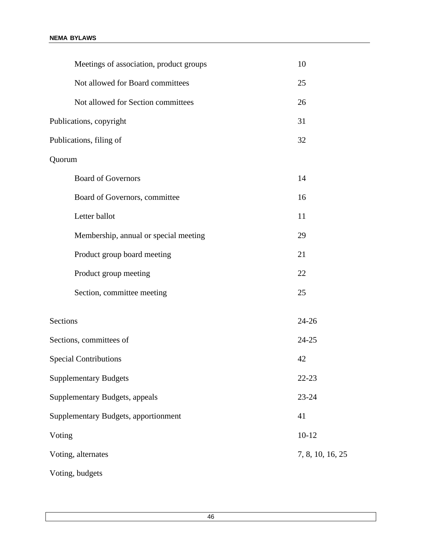| Meetings of association, product groups | 10               |
|-----------------------------------------|------------------|
| Not allowed for Board committees        | 25               |
| Not allowed for Section committees      | 26               |
| Publications, copyright                 | 31               |
| Publications, filing of                 | 32               |
| Quorum                                  |                  |
| <b>Board of Governors</b>               | 14               |
| Board of Governors, committee           | 16               |
| Letter ballot                           | 11               |
| Membership, annual or special meeting   | 29               |
| Product group board meeting             | 21               |
| Product group meeting                   | 22               |
| Section, committee meeting              | 25               |
| Sections                                | $24 - 26$        |
| Sections, committees of                 | $24 - 25$        |
| <b>Special Contributions</b>            | 42               |
| <b>Supplementary Budgets</b>            | $22 - 23$        |
| Supplementary Budgets, appeals          | 23-24            |
| Supplementary Budgets, apportionment    | 41               |
| Voting                                  | $10-12$          |
| Voting, alternates                      | 7, 8, 10, 16, 25 |
| Voting, budgets                         |                  |